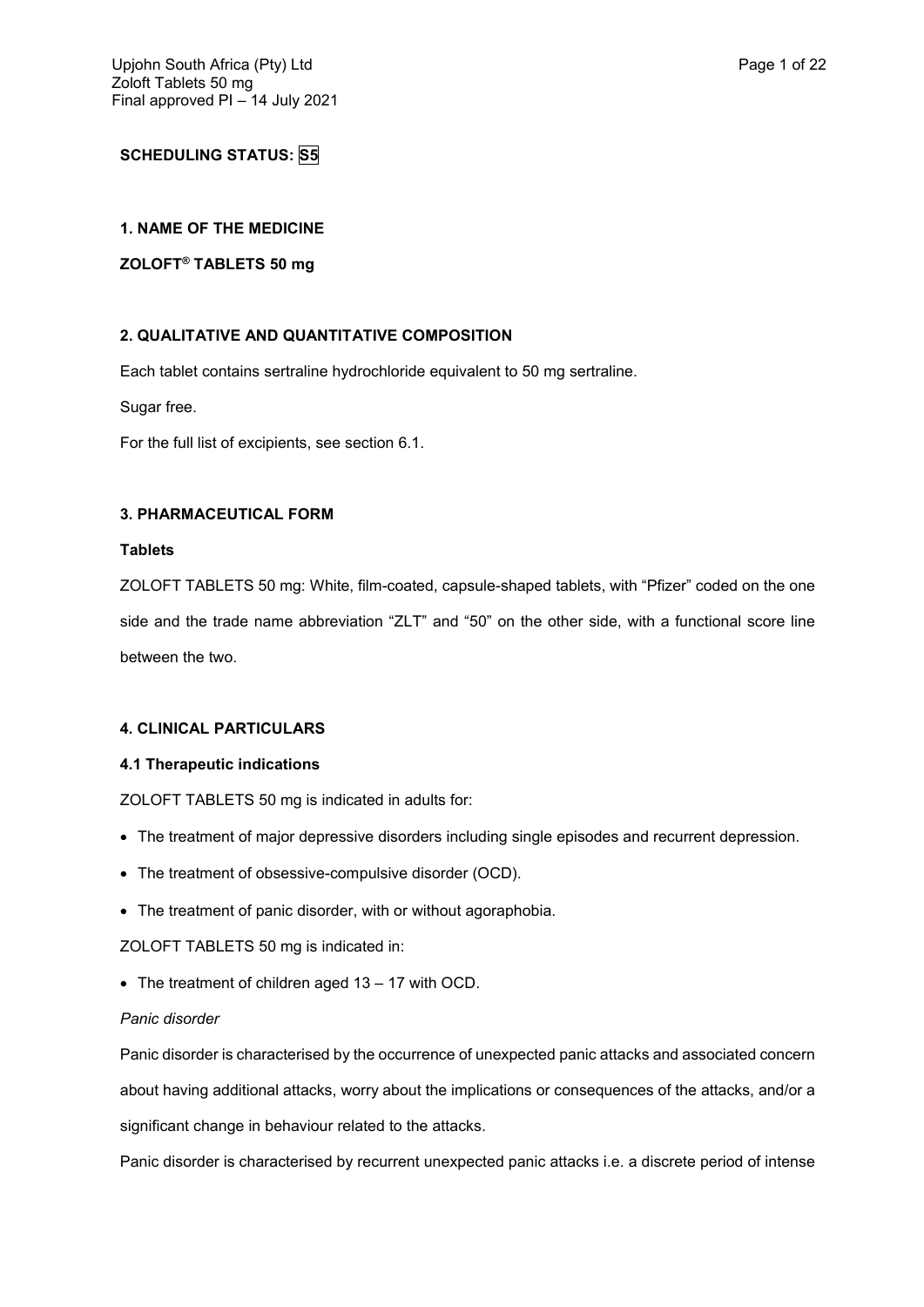# **SCHEDULING STATUS: S5**

# **1. NAME OF THE MEDICINE**

# **ZOLOFT® TABLETS 50 mg**

# **2. QUALITATIVE AND QUANTITATIVE COMPOSITION**

Each tablet contains sertraline hydrochloride equivalent to 50 mg sertraline.

Sugar free.

For the full list of excipients, see section 6.1.

## **3. PHARMACEUTICAL FORM**

### **Tablets**

ZOLOFT TABLETS 50 mg: White, film-coated, capsule-shaped tablets, with "Pfizer" coded on the one side and the trade name abbreviation "ZLT" and "50" on the other side, with a functional score line between the two.

# **4. CLINICAL PARTICULARS**

## **4.1 Therapeutic indications**

ZOLOFT TABLETS 50 mg is indicated in adults for:

- The treatment of major depressive disorders including single episodes and recurrent depression.
- The treatment of obsessive-compulsive disorder (OCD).
- The treatment of panic disorder, with or without agoraphobia.

ZOLOFT TABLETS 50 mg is indicated in:

• The treatment of children aged 13 - 17 with OCD.

## *Panic disorder*

Panic disorder is characterised by the occurrence of unexpected panic attacks and associated concern about having additional attacks, worry about the implications or consequences of the attacks, and/or a significant change in behaviour related to the attacks.

Panic disorder is characterised by recurrent unexpected panic attacks i.e. a discrete period of intense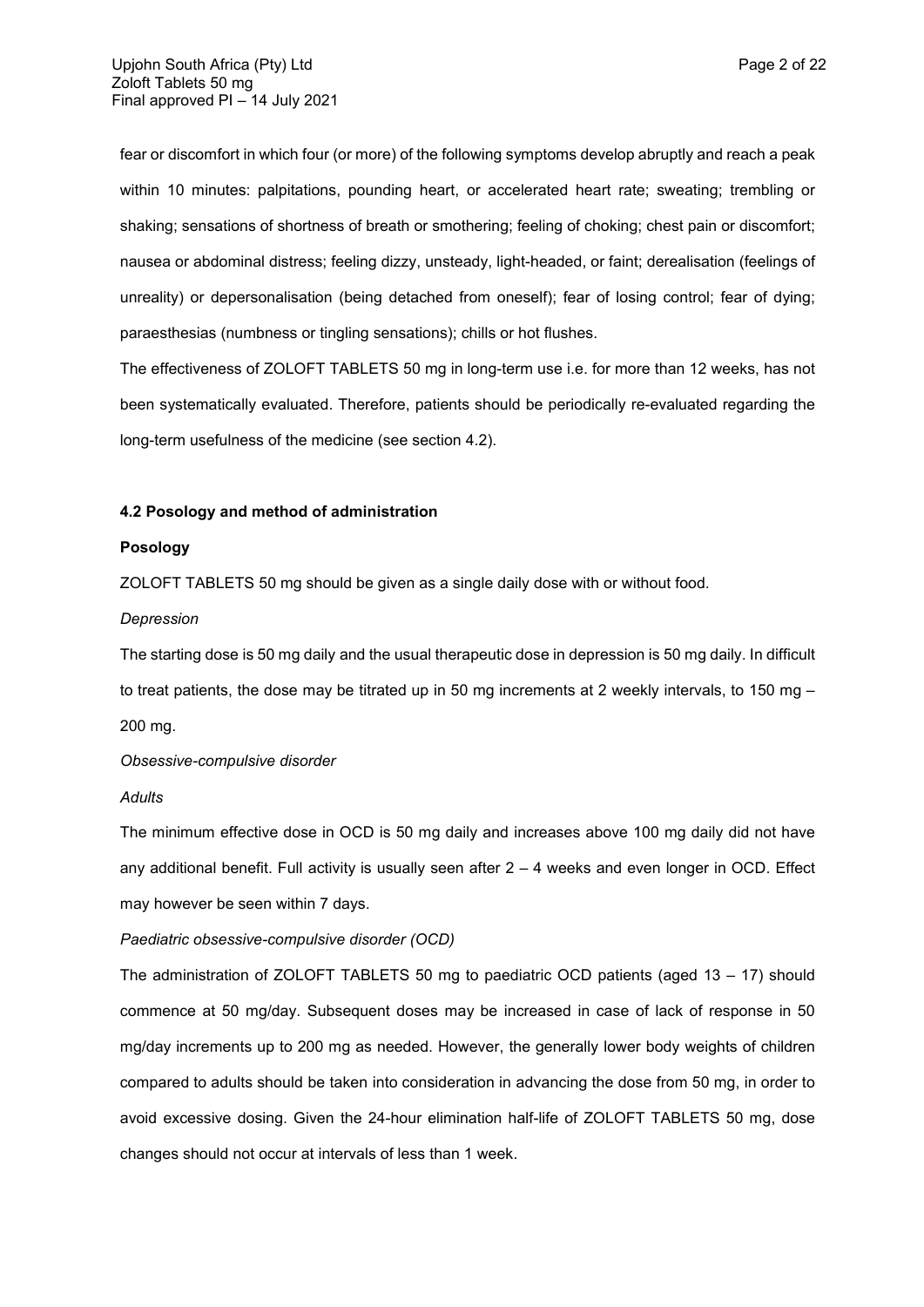fear or discomfort in which four (or more) of the following symptoms develop abruptly and reach a peak within 10 minutes: palpitations, pounding heart, or accelerated heart rate; sweating; trembling or shaking; sensations of shortness of breath or smothering; feeling of choking; chest pain or discomfort; nausea or abdominal distress; feeling dizzy, unsteady, light-headed, or faint; derealisation (feelings of unreality) or depersonalisation (being detached from oneself); fear of losing control; fear of dying; paraesthesias (numbness or tingling sensations); chills or hot flushes.

The effectiveness of ZOLOFT TABLETS 50 mg in long-term use i.e. for more than 12 weeks, has not been systematically evaluated. Therefore, patients should be periodically re-evaluated regarding the long-term usefulness of the medicine (see section 4.2).

## **4.2 Posology and method of administration**

### **Posology**

ZOLOFT TABLETS 50 mg should be given as a single daily dose with or without food.

## *Depression*

The starting dose is 50 mg daily and the usual therapeutic dose in depression is 50 mg daily. In difficult to treat patients, the dose may be titrated up in 50 mg increments at 2 weekly intervals, to 150 mg – 200 mg.

## *Obsessive-compulsive disorder*

### *Adults*

The minimum effective dose in OCD is 50 mg daily and increases above 100 mg daily did not have any additional benefit. Full activity is usually seen after  $2 - 4$  weeks and even longer in OCD. Effect may however be seen within 7 days.

## *Paediatric obsessive-compulsive disorder (OCD)*

The administration of ZOLOFT TABLETS 50 mg to paediatric OCD patients (aged 13 – 17) should commence at 50 mg/day. Subsequent doses may be increased in case of lack of response in 50 mg/day increments up to 200 mg as needed. However, the generally lower body weights of children compared to adults should be taken into consideration in advancing the dose from 50 mg, in order to avoid excessive dosing. Given the 24-hour elimination half-life of ZOLOFT TABLETS 50 mg, dose changes should not occur at intervals of less than 1 week.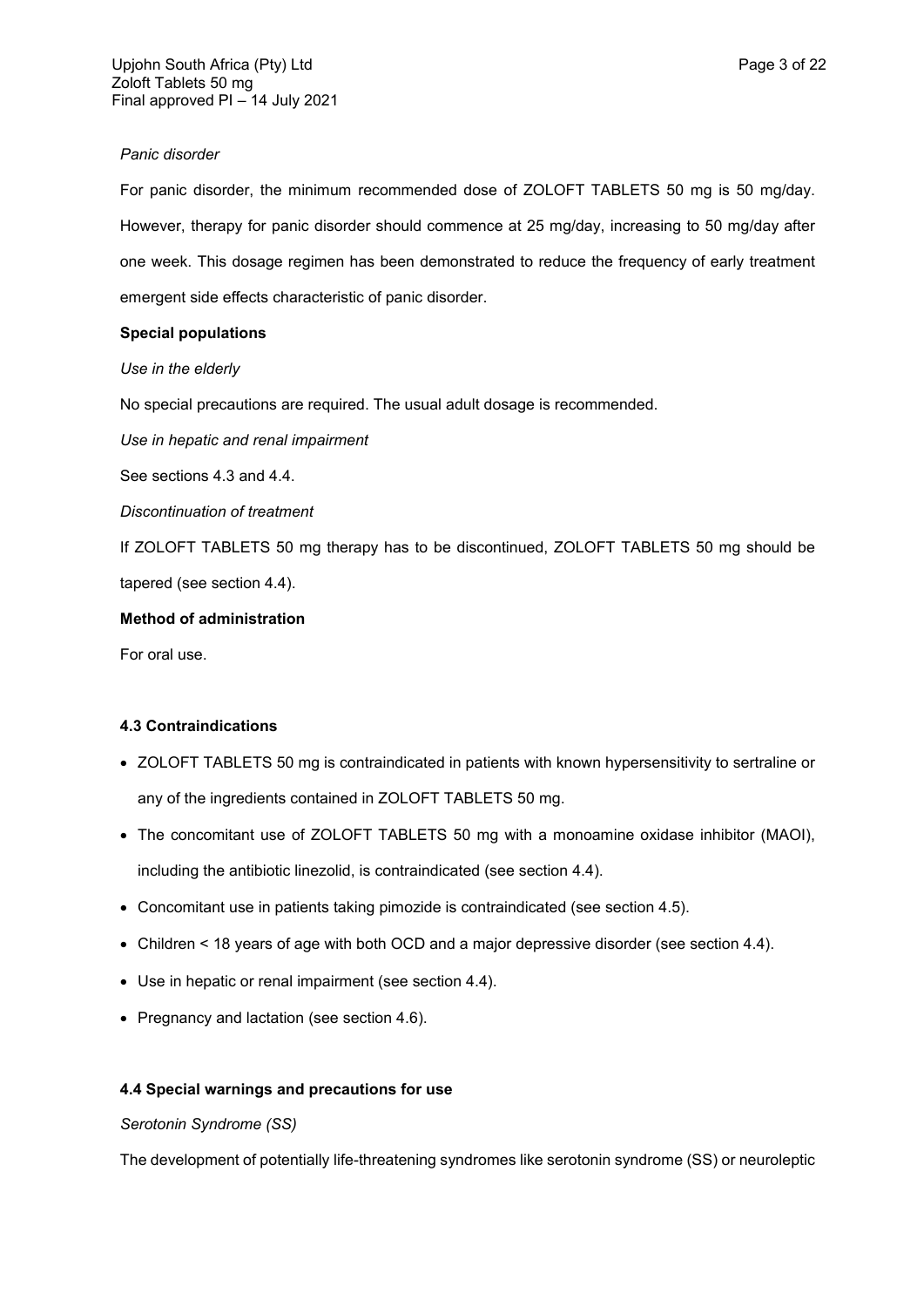# *Panic disorder*

For panic disorder, the minimum recommended dose of ZOLOFT TABLETS 50 mg is 50 mg/day. However, therapy for panic disorder should commence at 25 mg/day, increasing to 50 mg/day after one week. This dosage regimen has been demonstrated to reduce the frequency of early treatment emergent side effects characteristic of panic disorder.

# **Special populations**

*Use in the elderly*

No special precautions are required. The usual adult dosage is recommended.

*Use in hepatic and renal impairment*

See sections 4.3 and 4.4.

*Discontinuation of treatment*

If ZOLOFT TABLETS 50 mg therapy has to be discontinued, ZOLOFT TABLETS 50 mg should be tapered (see section 4.4).

# **Method of administration**

For oral use.

# **4.3 Contraindications**

- ZOLOFT TABLETS 50 mg is contraindicated in patients with known hypersensitivity to sertraline or any of the ingredients contained in ZOLOFT TABLETS 50 mg.
- The concomitant use of ZOLOFT TABLETS 50 mg with a monoamine oxidase inhibitor (MAOI), including the antibiotic linezolid, is contraindicated (see section 4.4).
- Concomitant use in patients taking pimozide is contraindicated (see section 4.5).
- Children < 18 years of age with both OCD and a major depressive disorder (see section 4.4).
- Use in hepatic or renal impairment (see section 4.4).
- Pregnancy and lactation (see section 4.6).

# **4.4 Special warnings and precautions for use**

## *Serotonin Syndrome (SS)*

The development of potentially life-threatening syndromes like serotonin syndrome (SS) or neuroleptic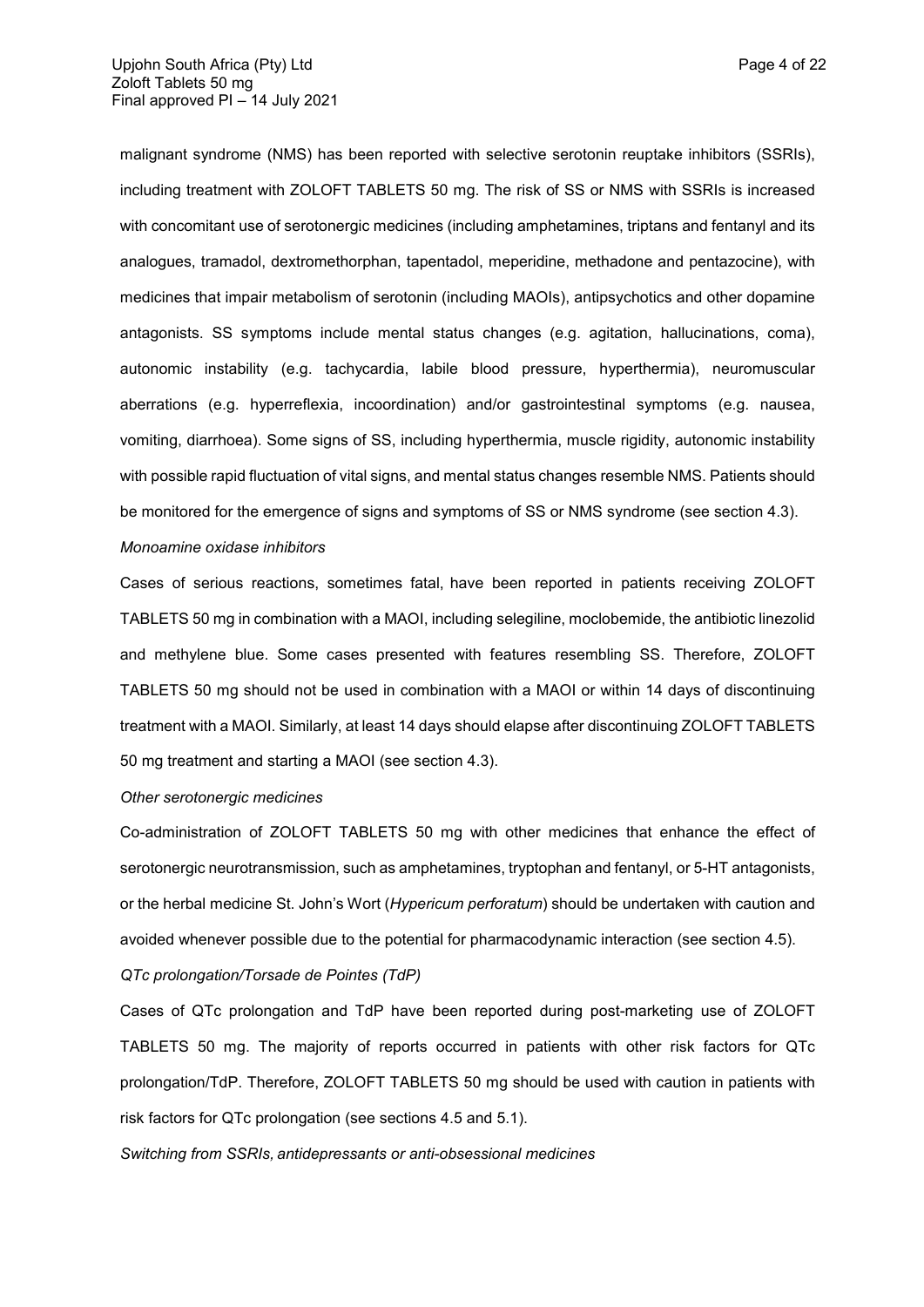malignant syndrome (NMS) has been reported with selective serotonin reuptake inhibitors (SSRIs), including treatment with ZOLOFT TABLETS 50 mg. The risk of SS or NMS with SSRIs is increased with concomitant use of serotonergic medicines (including amphetamines, triptans and fentanyl and its analogues, tramadol, dextromethorphan, tapentadol, meperidine, methadone and pentazocine), with medicines that impair metabolism of serotonin (including MAOIs), antipsychotics and other dopamine antagonists. SS symptoms include mental status changes (e.g. agitation, hallucinations, coma), autonomic instability (e.g. tachycardia, labile blood pressure, hyperthermia), neuromuscular aberrations (e.g. hyperreflexia, incoordination) and/or gastrointestinal symptoms (e.g. nausea, vomiting, diarrhoea). Some signs of SS, including hyperthermia, muscle rigidity, autonomic instability with possible rapid fluctuation of vital signs, and mental status changes resemble NMS. Patients should be monitored for the emergence of signs and symptoms of SS or NMS syndrome (see section 4.3).

### *Monoamine oxidase inhibitors*

Cases of serious reactions, sometimes fatal, have been reported in patients receiving ZOLOFT TABLETS 50 mg in combination with a MAOI, including selegiline, moclobemide, the antibiotic linezolid and methylene blue. Some cases presented with features resembling SS. Therefore, ZOLOFT TABLETS 50 mg should not be used in combination with a MAOI or within 14 days of discontinuing treatment with a MAOI. Similarly, at least 14 days should elapse after discontinuing ZOLOFT TABLETS 50 mg treatment and starting a MAOI (see section 4.3).

### *Other serotonergic medicines*

Co-administration of ZOLOFT TABLETS 50 mg with other medicines that enhance the effect of serotonergic neurotransmission, such as amphetamines, tryptophan and fentanyl, or 5-HT antagonists, or the herbal medicine St. John's Wort (*Hypericum perforatum*) should be undertaken with caution and avoided whenever possible due to the potential for pharmacodynamic interaction (see section 4.5).

## *QTc prolongation/Torsade de Pointes (TdP)*

Cases of QTc prolongation and TdP have been reported during post-marketing use of ZOLOFT TABLETS 50 mg. The majority of reports occurred in patients with other risk factors for QTc prolongation/TdP. Therefore, ZOLOFT TABLETS 50 mg should be used with caution in patients with risk factors for QTc prolongation (see sections 4.5 and 5.1).

*Switching from SSRIs, antidepressants or anti-obsessional medicines*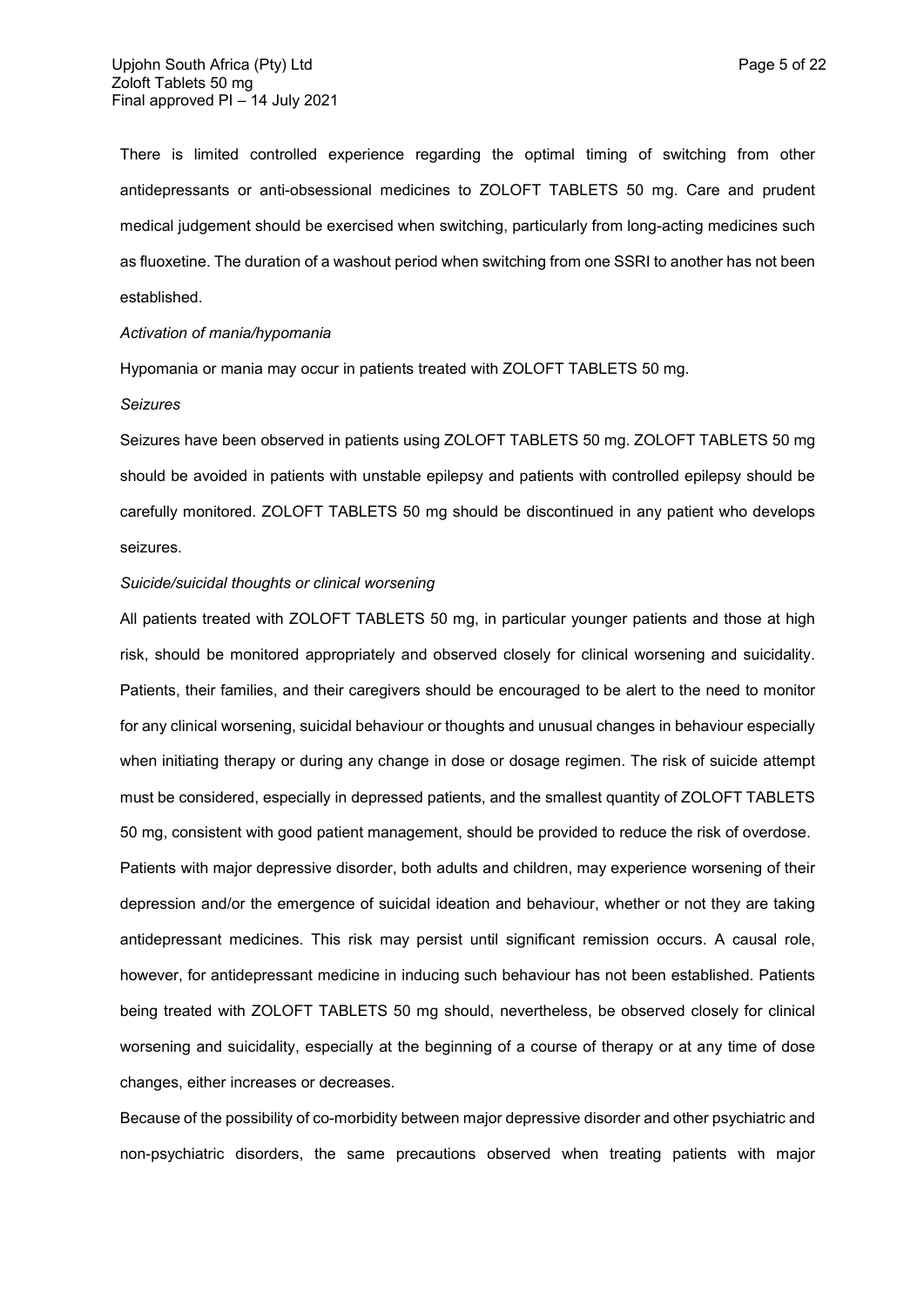There is limited controlled experience regarding the optimal timing of switching from other antidepressants or anti-obsessional medicines to ZOLOFT TABLETS 50 mg. Care and prudent medical judgement should be exercised when switching, particularly from long-acting medicines such as fluoxetine. The duration of a washout period when switching from one SSRI to another has not been established.

### *Activation of mania/hypomania*

Hypomania or mania may occur in patients treated with ZOLOFT TABLETS 50 mg.

#### *Seizures*

Seizures have been observed in patients using ZOLOFT TABLETS 50 mg. ZOLOFT TABLETS 50 mg should be avoided in patients with unstable epilepsy and patients with controlled epilepsy should be carefully monitored. ZOLOFT TABLETS 50 mg should be discontinued in any patient who develops seizures.

#### *Suicide/suicidal thoughts or clinical worsening*

All patients treated with ZOLOFT TABLETS 50 mg, in particular younger patients and those at high risk, should be monitored appropriately and observed closely for clinical worsening and suicidality. Patients, their families, and their caregivers should be encouraged to be alert to the need to monitor for any clinical worsening, suicidal behaviour or thoughts and unusual changes in behaviour especially when initiating therapy or during any change in dose or dosage regimen. The risk of suicide attempt must be considered, especially in depressed patients, and the smallest quantity of ZOLOFT TABLETS 50 mg, consistent with good patient management, should be provided to reduce the risk of overdose. Patients with major depressive disorder, both adults and children, may experience worsening of their depression and/or the emergence of suicidal ideation and behaviour, whether or not they are taking antidepressant medicines. This risk may persist until significant remission occurs. A causal role, however, for antidepressant medicine in inducing such behaviour has not been established. Patients being treated with ZOLOFT TABLETS 50 mg should, nevertheless, be observed closely for clinical worsening and suicidality, especially at the beginning of a course of therapy or at any time of dose changes, either increases or decreases.

Because of the possibility of co-morbidity between major depressive disorder and other psychiatric and non-psychiatric disorders, the same precautions observed when treating patients with major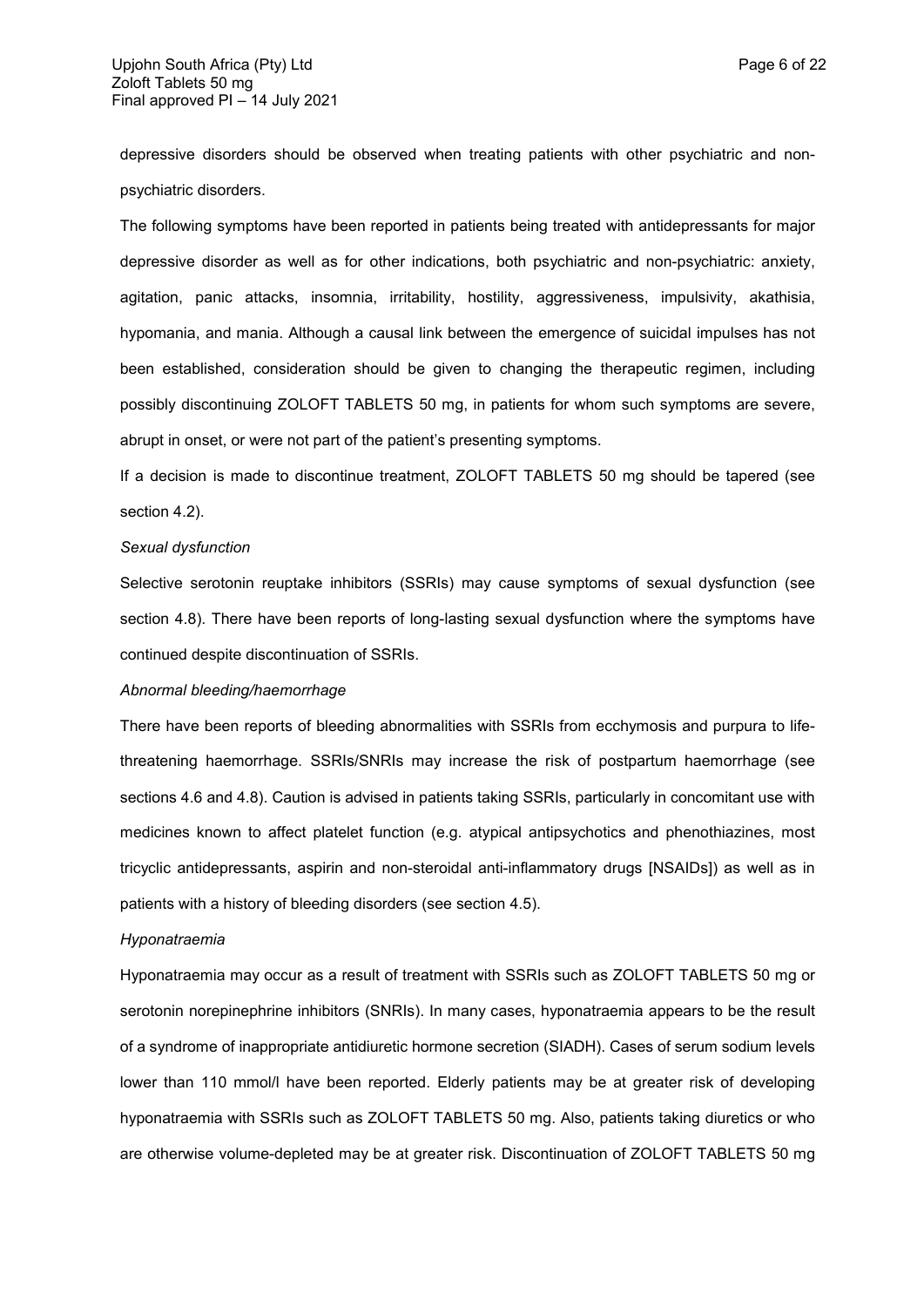depressive disorders should be observed when treating patients with other psychiatric and nonpsychiatric disorders.

The following symptoms have been reported in patients being treated with antidepressants for major depressive disorder as well as for other indications, both psychiatric and non-psychiatric: anxiety, agitation, panic attacks, insomnia, irritability, hostility, aggressiveness, impulsivity, akathisia, hypomania, and mania. Although a causal link between the emergence of suicidal impulses has not been established, consideration should be given to changing the therapeutic regimen, including possibly discontinuing ZOLOFT TABLETS 50 mg, in patients for whom such symptoms are severe, abrupt in onset, or were not part of the patient's presenting symptoms.

If a decision is made to discontinue treatment, ZOLOFT TABLETS 50 mg should be tapered (see section 4.2).

## *Sexual dysfunction*

Selective serotonin reuptake inhibitors (SSRIs) may cause symptoms of sexual dysfunction (see section 4.8). There have been reports of long-lasting sexual dysfunction where the symptoms have continued despite discontinuation of SSRIs.

## *Abnormal bleeding/haemorrhage*

There have been reports of bleeding abnormalities with SSRIs from ecchymosis and purpura to lifethreatening haemorrhage. SSRIs/SNRIs may increase the risk of postpartum haemorrhage (see sections 4.6 and 4.8). Caution is advised in patients taking SSRIs, particularly in concomitant use with medicines known to affect platelet function (e.g. atypical antipsychotics and phenothiazines, most tricyclic antidepressants, aspirin and non-steroidal anti-inflammatory drugs [NSAIDs]) as well as in patients with a history of bleeding disorders (see section 4.5).

#### *Hyponatraemia*

Hyponatraemia may occur as a result of treatment with SSRIs such as ZOLOFT TABLETS 50 mg or serotonin norepinephrine inhibitors (SNRIs). In many cases, hyponatraemia appears to be the result of a syndrome of inappropriate antidiuretic hormone secretion (SIADH). Cases of serum sodium levels lower than 110 mmol/l have been reported. Elderly patients may be at greater risk of developing hyponatraemia with SSRIs such as ZOLOFT TABLETS 50 mg. Also, patients taking diuretics or who are otherwise volume-depleted may be at greater risk. Discontinuation of ZOLOFT TABLETS 50 mg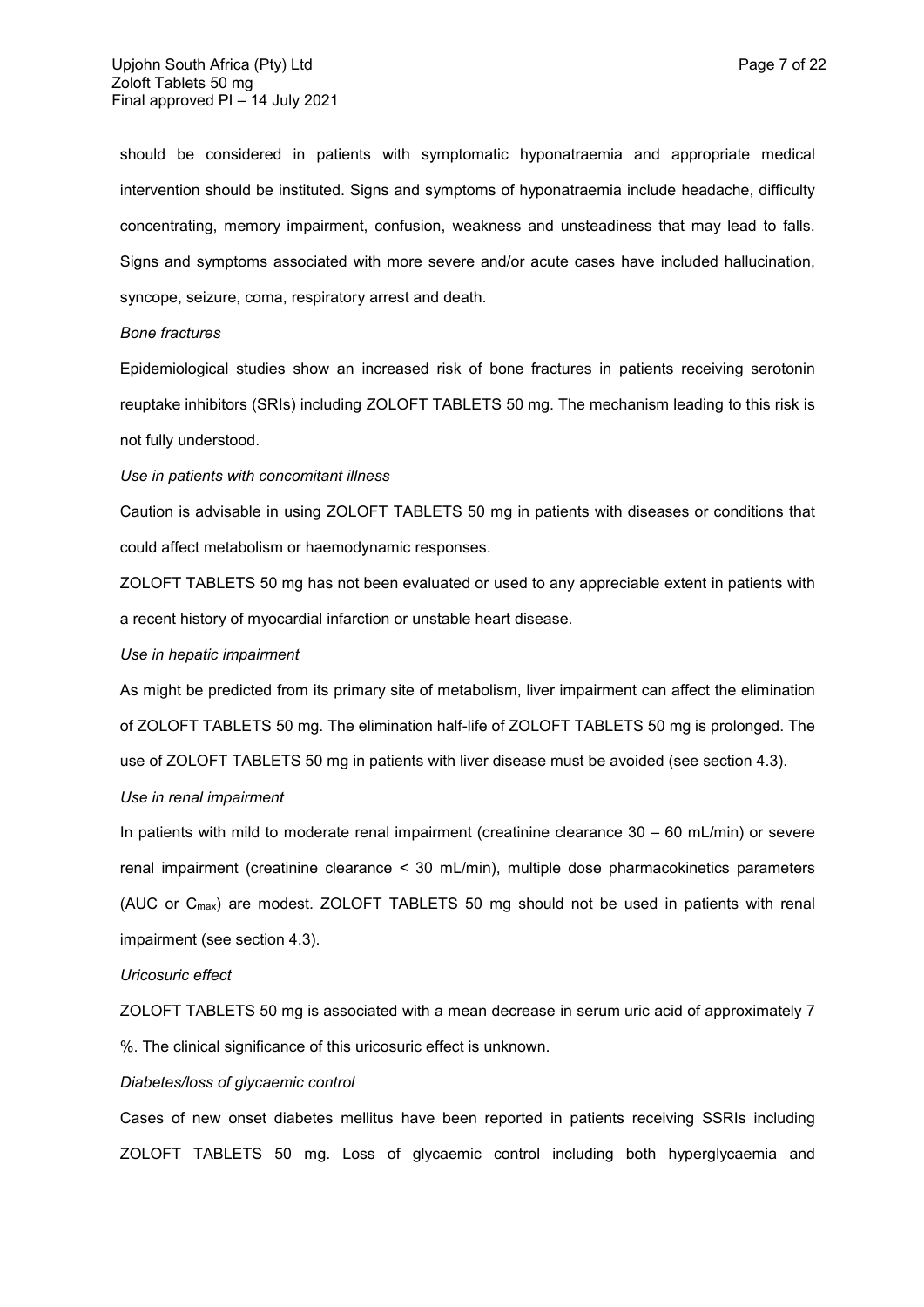should be considered in patients with symptomatic hyponatraemia and appropriate medical intervention should be instituted. Signs and symptoms of hyponatraemia include headache, difficulty concentrating, memory impairment, confusion, weakness and unsteadiness that may lead to falls. Signs and symptoms associated with more severe and/or acute cases have included hallucination, syncope, seizure, coma, respiratory arrest and death.

### *Bone fractures*

Epidemiological studies show an increased risk of bone fractures in patients receiving serotonin reuptake inhibitors (SRIs) including ZOLOFT TABLETS 50 mg. The mechanism leading to this risk is not fully understood.

#### *Use in patients with concomitant illness*

Caution is advisable in using ZOLOFT TABLETS 50 mg in patients with diseases or conditions that could affect metabolism or haemodynamic responses.

ZOLOFT TABLETS 50 mg has not been evaluated or used to any appreciable extent in patients with a recent history of myocardial infarction or unstable heart disease.

## *Use in hepatic impairment*

As might be predicted from its primary site of metabolism, liver impairment can affect the elimination of ZOLOFT TABLETS 50 mg. The elimination half-life of ZOLOFT TABLETS 50 mg is prolonged. The use of ZOLOFT TABLETS 50 mg in patients with liver disease must be avoided (see section 4.3).

### *Use in renal impairment*

In patients with mild to moderate renal impairment (creatinine clearance 30 – 60 mL/min) or severe renal impairment (creatinine clearance < 30 mL/min), multiple dose pharmacokinetics parameters (AUC or Cmax) are modest. ZOLOFT TABLETS 50 mg should not be used in patients with renal impairment (see section 4.3).

### *Uricosuric effect*

ZOLOFT TABLETS 50 mg is associated with a mean decrease in serum uric acid of approximately 7 %. The clinical significance of this uricosuric effect is unknown.

#### *Diabetes/loss of glycaemic control*

Cases of new onset diabetes mellitus have been reported in patients receiving SSRIs including ZOLOFT TABLETS 50 mg. Loss of glycaemic control including both hyperglycaemia and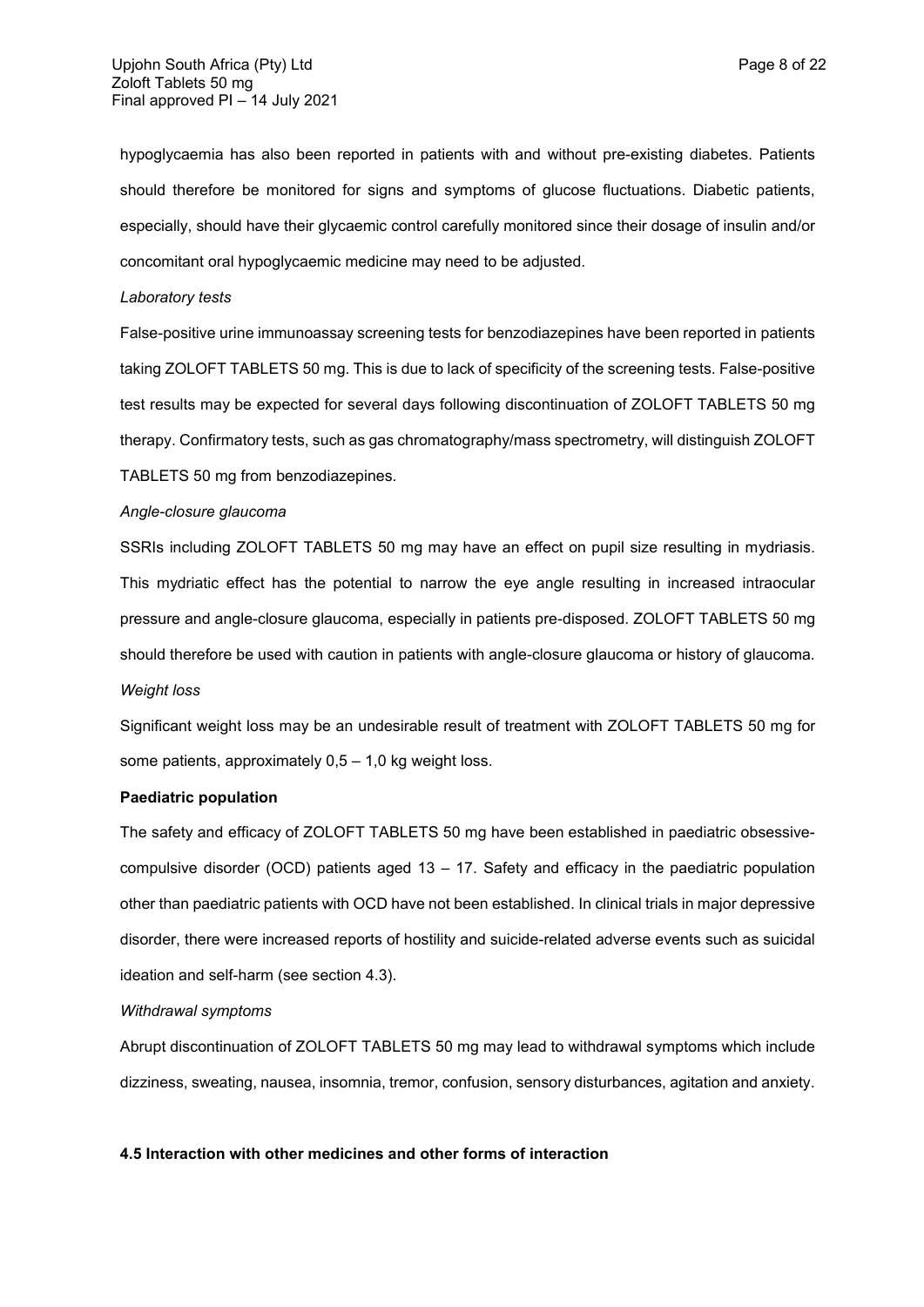hypoglycaemia has also been reported in patients with and without pre-existing diabetes. Patients should therefore be monitored for signs and symptoms of glucose fluctuations. Diabetic patients, especially, should have their glycaemic control carefully monitored since their dosage of insulin and/or concomitant oral hypoglycaemic medicine may need to be adjusted.

#### *Laboratory tests*

False-positive urine immunoassay screening tests for benzodiazepines have been reported in patients taking ZOLOFT TABLETS 50 mg. This is due to lack of specificity of the screening tests. False-positive test results may be expected for several days following discontinuation of ZOLOFT TABLETS 50 mg therapy. Confirmatory tests, such as gas chromatography/mass spectrometry, will distinguish ZOLOFT TABLETS 50 mg from benzodiazepines.

#### *Angle-closure glaucoma*

SSRIs including ZOLOFT TABLETS 50 mg may have an effect on pupil size resulting in mydriasis. This mydriatic effect has the potential to narrow the eye angle resulting in increased intraocular pressure and angle-closure glaucoma, especially in patients pre-disposed. ZOLOFT TABLETS 50 mg should therefore be used with caution in patients with angle-closure glaucoma or history of glaucoma*. Weight loss*

Significant weight loss may be an undesirable result of treatment with ZOLOFT TABLETS 50 mg for some patients, approximately  $0.5 - 1.0$  kg weight loss.

## **Paediatric population**

The safety and efficacy of ZOLOFT TABLETS 50 mg have been established in paediatric obsessivecompulsive disorder (OCD) patients aged 13 – 17. Safety and efficacy in the paediatric population other than paediatric patients with OCD have not been established. In clinical trials in major depressive disorder, there were increased reports of hostility and suicide-related adverse events such as suicidal ideation and self-harm (see section 4.3).

## *Withdrawal symptoms*

Abrupt discontinuation of ZOLOFT TABLETS 50 mg may lead to withdrawal symptoms which include dizziness, sweating, nausea, insomnia, tremor, confusion, sensory disturbances, agitation and anxiety.

### **4.5 Interaction with other medicines and other forms of interaction**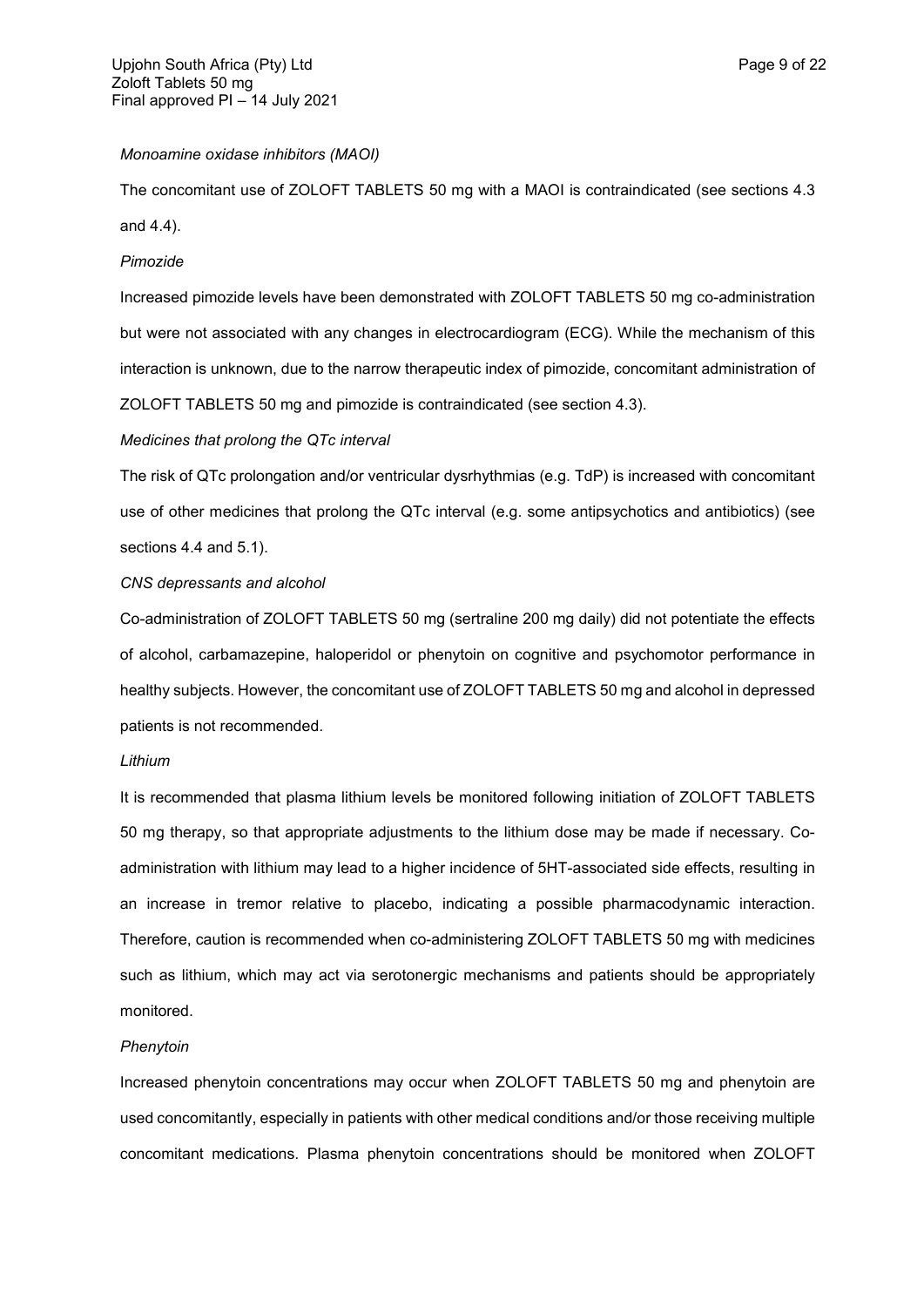## *Monoamine oxidase inhibitors (MAOI)*

The concomitant use of ZOLOFT TABLETS 50 mg with a MAOI is contraindicated (see sections 4.3 and 4.4).

### *Pimozide*

Increased pimozide levels have been demonstrated with ZOLOFT TABLETS 50 mg co-administration but were not associated with any changes in electrocardiogram (ECG). While the mechanism of this interaction is unknown, due to the narrow therapeutic index of pimozide, concomitant administration of ZOLOFT TABLETS 50 mg and pimozide is contraindicated (see section 4.3).

## *Medicines that prolong the QTc interval*

The risk of QTc prolongation and/or ventricular dysrhythmias (e.g. TdP) is increased with concomitant use of other medicines that prolong the QTc interval (e.g. some antipsychotics and antibiotics) (see sections 4.4 and 5.1).

### *CNS depressants and alcohol*

Co-administration of ZOLOFT TABLETS 50 mg (sertraline 200 mg daily) did not potentiate the effects of alcohol, carbamazepine, haloperidol or phenytoin on cognitive and psychomotor performance in healthy subjects. However, the concomitant use of ZOLOFT TABLETS 50 mg and alcohol in depressed patients is not recommended.

#### *Lithium*

It is recommended that plasma lithium levels be monitored following initiation of ZOLOFT TABLETS 50 mg therapy, so that appropriate adjustments to the lithium dose may be made if necessary. Coadministration with lithium may lead to a higher incidence of 5HT-associated side effects, resulting in an increase in tremor relative to placebo, indicating a possible pharmacodynamic interaction. Therefore, caution is recommended when co-administering ZOLOFT TABLETS 50 mg with medicines such as lithium, which may act via serotonergic mechanisms and patients should be appropriately monitored.

## *Phenytoin*

Increased phenytoin concentrations may occur when ZOLOFT TABLETS 50 mg and phenytoin are used concomitantly, especially in patients with other medical conditions and/or those receiving multiple concomitant medications. Plasma phenytoin concentrations should be monitored when ZOLOFT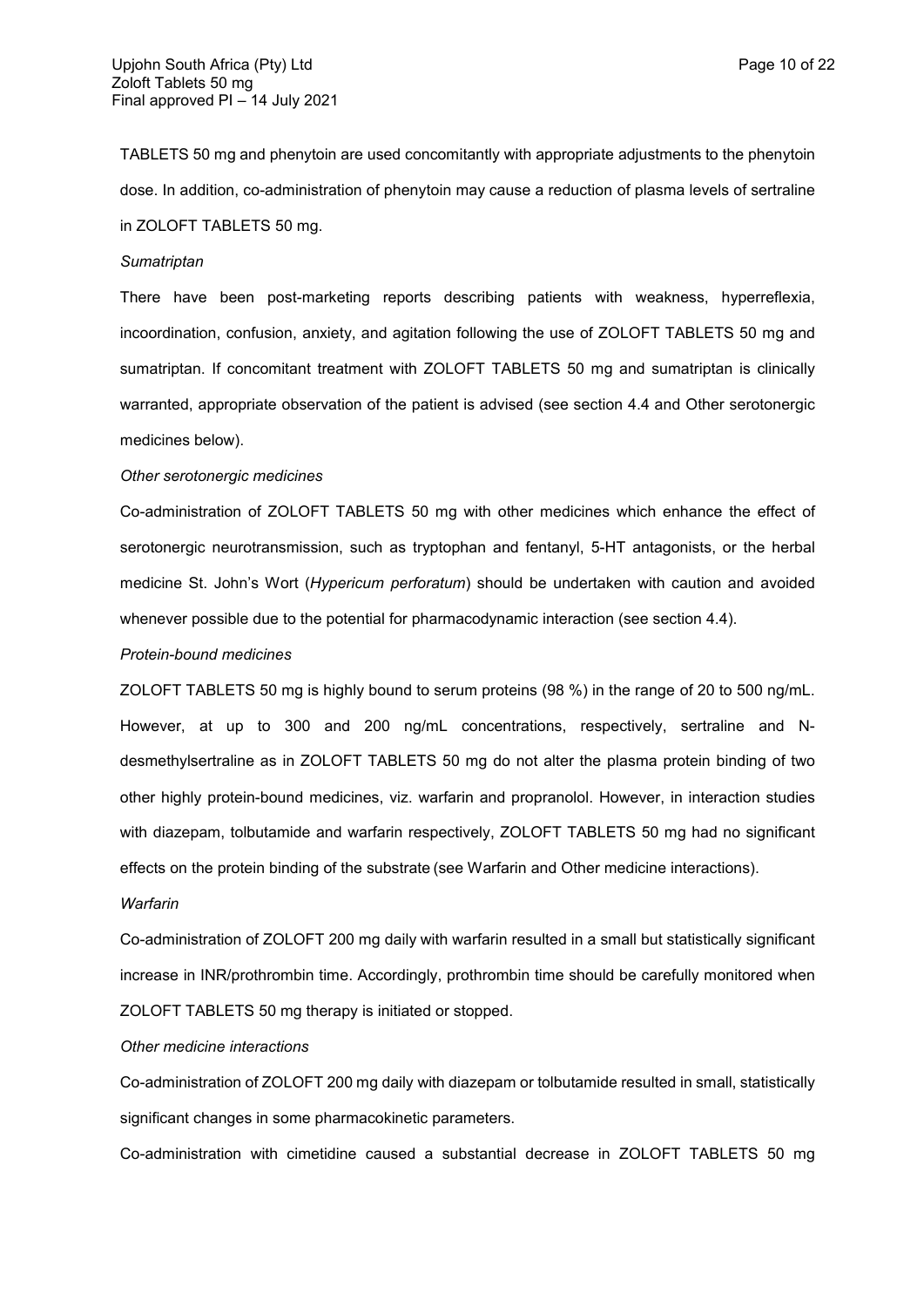TABLETS 50 mg and phenytoin are used concomitantly with appropriate adjustments to the phenytoin dose. In addition, co-administration of phenytoin may cause a reduction of plasma levels of sertraline in ZOLOFT TABLETS 50 mg.

### *Sumatriptan*

There have been post-marketing reports describing patients with weakness, hyperreflexia, incoordination, confusion, anxiety, and agitation following the use of ZOLOFT TABLETS 50 mg and sumatriptan. If concomitant treatment with ZOLOFT TABLETS 50 mg and sumatriptan is clinically warranted, appropriate observation of the patient is advised (see section 4.4 and Other serotonergic medicines below).

#### *Other serotonergic medicines*

Co-administration of ZOLOFT TABLETS 50 mg with other medicines which enhance the effect of serotonergic neurotransmission, such as tryptophan and fentanyl, 5-HT antagonists, or the herbal medicine St. John's Wort (*Hypericum perforatum*) should be undertaken with caution and avoided whenever possible due to the potential for pharmacodynamic interaction (see section 4.4).

### *Protein-bound medicines*

ZOLOFT TABLETS 50 mg is highly bound to serum proteins (98 %) in the range of 20 to 500 ng/mL. However, at up to 300 and 200 ng/mL concentrations, respectively, sertraline and Ndesmethylsertraline as in ZOLOFT TABLETS 50 mg do not alter the plasma protein binding of two other highly protein-bound medicines, viz. warfarin and propranolol. However, in interaction studies with diazepam, tolbutamide and warfarin respectively, ZOLOFT TABLETS 50 mg had no significant effects on the protein binding of the substrate (see Warfarin and Other medicine interactions).

#### *Warfarin*

Co-administration of ZOLOFT 200 mg daily with warfarin resulted in a small but statistically significant increase in INR/prothrombin time. Accordingly, prothrombin time should be carefully monitored when ZOLOFT TABLETS 50 mg therapy is initiated or stopped.

## *Other medicine interactions*

Co-administration of ZOLOFT 200 mg daily with diazepam or tolbutamide resulted in small, statistically significant changes in some pharmacokinetic parameters.

Co-administration with cimetidine caused a substantial decrease in ZOLOFT TABLETS 50 mg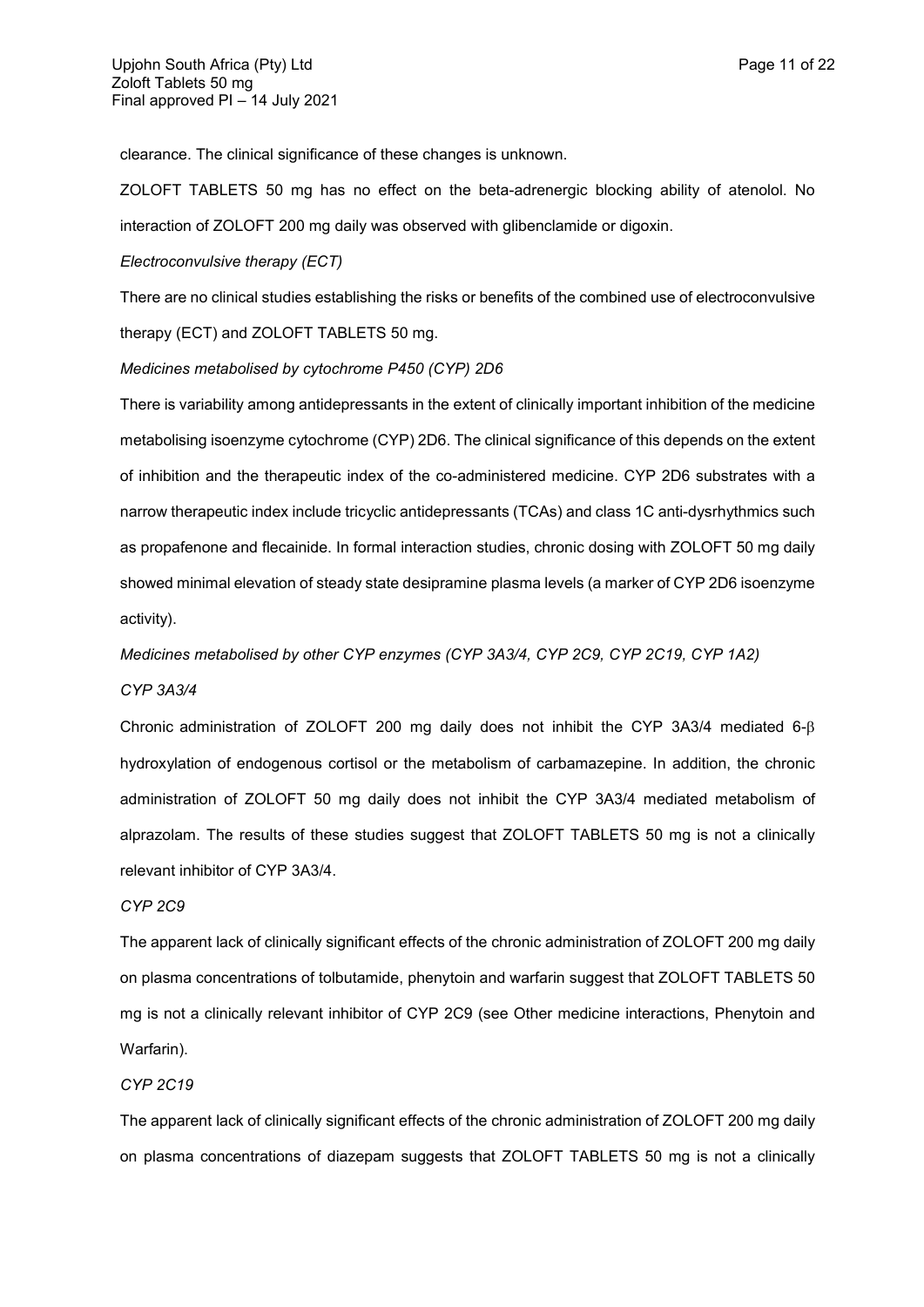clearance. The clinical significance of these changes is unknown.

ZOLOFT TABLETS 50 mg has no effect on the beta-adrenergic blocking ability of atenolol. No interaction of ZOLOFT 200 mg daily was observed with glibenclamide or digoxin.

### *Electroconvulsive therapy (ECT)*

There are no clinical studies establishing the risks or benefits of the combined use of electroconvulsive therapy (ECT) and ZOLOFT TABLETS 50 mg.

## *Medicines metabolised by cytochrome P450 (CYP) 2D6*

There is variability among antidepressants in the extent of clinically important inhibition of the medicine metabolising isoenzyme cytochrome (CYP) 2D6. The clinical significance of this depends on the extent of inhibition and the therapeutic index of the co-administered medicine. CYP 2D6 substrates with a narrow therapeutic index include tricyclic antidepressants (TCAs) and class 1C anti-dysrhythmics such as propafenone and flecainide. In formal interaction studies, chronic dosing with ZOLOFT 50 mg daily showed minimal elevation of steady state desipramine plasma levels (a marker of CYP 2D6 isoenzyme activity).

*Medicines metabolised by other CYP enzymes (CYP 3A3/4, CYP 2C9, CYP 2C19, CYP 1A2) CYP 3A3/4*

Chronic administration of ZOLOFT 200 mg daily does not inhibit the CYP 3A3/4 mediated 6 hydroxylation of endogenous cortisol or the metabolism of carbamazepine. In addition, the chronic administration of ZOLOFT 50 mg daily does not inhibit the CYP 3A3/4 mediated metabolism of alprazolam. The results of these studies suggest that ZOLOFT TABLETS 50 mg is not a clinically relevant inhibitor of CYP 3A3/4.

### *CYP 2C9*

The apparent lack of clinically significant effects of the chronic administration of ZOLOFT 200 mg daily on plasma concentrations of tolbutamide, phenytoin and warfarin suggest that ZOLOFT TABLETS 50 mg is not a clinically relevant inhibitor of CYP 2C9 (see Other medicine interactions, Phenytoin and Warfarin).

### *CYP 2C19*

The apparent lack of clinically significant effects of the chronic administration of ZOLOFT 200 mg daily on plasma concentrations of diazepam suggests that ZOLOFT TABLETS 50 mg is not a clinically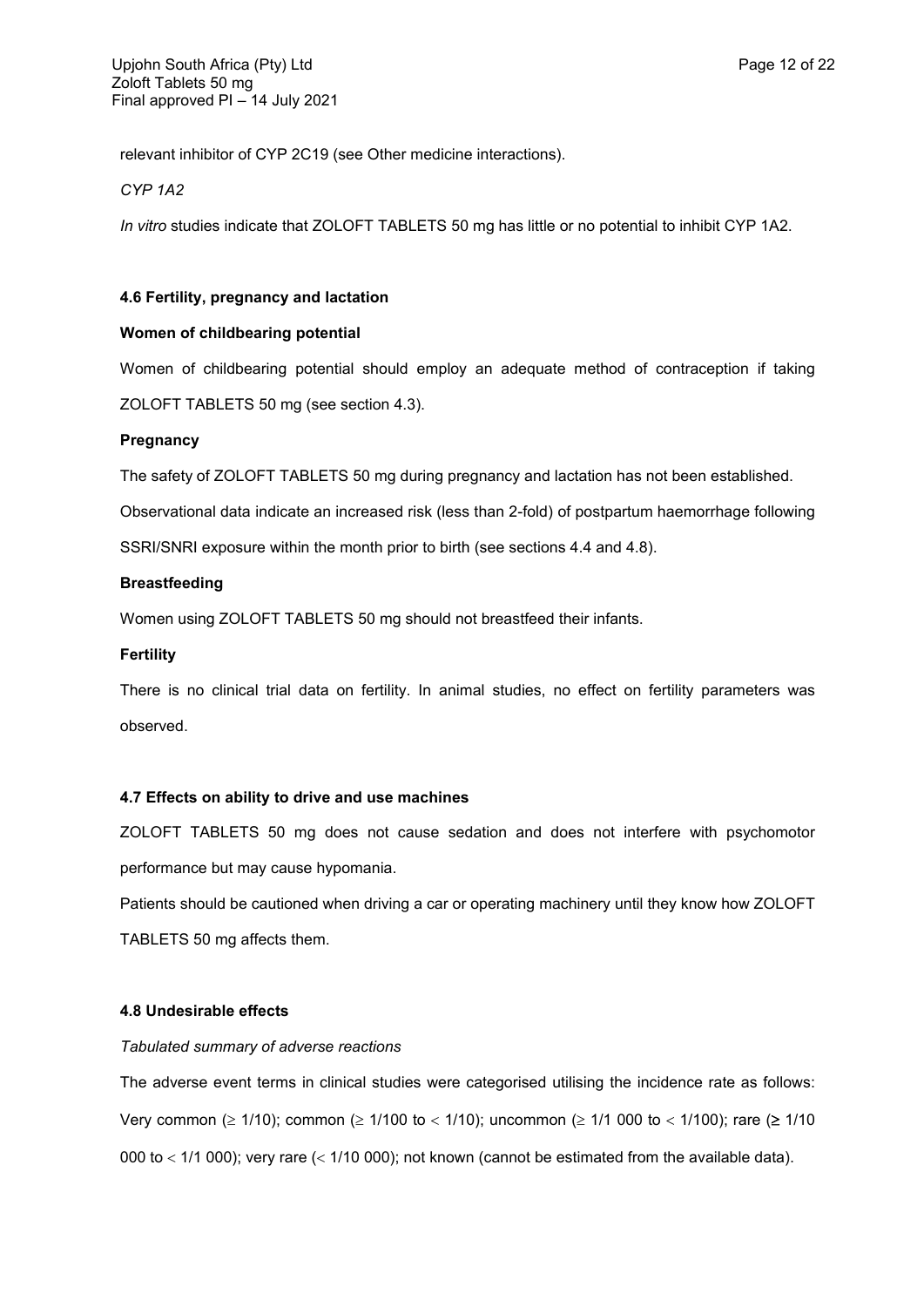relevant inhibitor of CYP 2C19 (see Other medicine interactions).

*CYP 1A2*

*In vitro* studies indicate that ZOLOFT TABLETS 50 mg has little or no potential to inhibit CYP 1A2.

# **4.6 Fertility, pregnancy and lactation**

# **Women of childbearing potential**

Women of childbearing potential should employ an adequate method of contraception if taking ZOLOFT TABLETS 50 mg (see section 4.3).

# **Pregnancy**

The safety of ZOLOFT TABLETS 50 mg during pregnancy and lactation has not been established.

Observational data indicate an increased risk (less than 2-fold) of postpartum haemorrhage following

SSRI/SNRI exposure within the month prior to birth (see sections 4.4 and 4.8).

# **Breastfeeding**

Women using ZOLOFT TABLETS 50 mg should not breastfeed their infants.

# **Fertility**

There is no clinical trial data on fertility. In animal studies, no effect on fertility parameters was observed.

# **4.7 Effects on ability to drive and use machines**

ZOLOFT TABLETS 50 mg does not cause sedation and does not interfere with psychomotor performance but may cause hypomania.

Patients should be cautioned when driving a car or operating machinery until they know how ZOLOFT TABLETS 50 mg affects them.

# **4.8 Undesirable effects**

## *Tabulated summary of adverse reactions*

The adverse event terms in clinical studies were categorised utilising the incidence rate as follows: Very common ( $\geq 1/10$ ); common ( $\geq 1/100$  to < 1/10); uncommon ( $\geq 1/1$  000 to < 1/100); rare ( $\geq 1/10$ 000 to  $<$  1/1 000); very rare  $(<$  1/10 000); not known (cannot be estimated from the available data).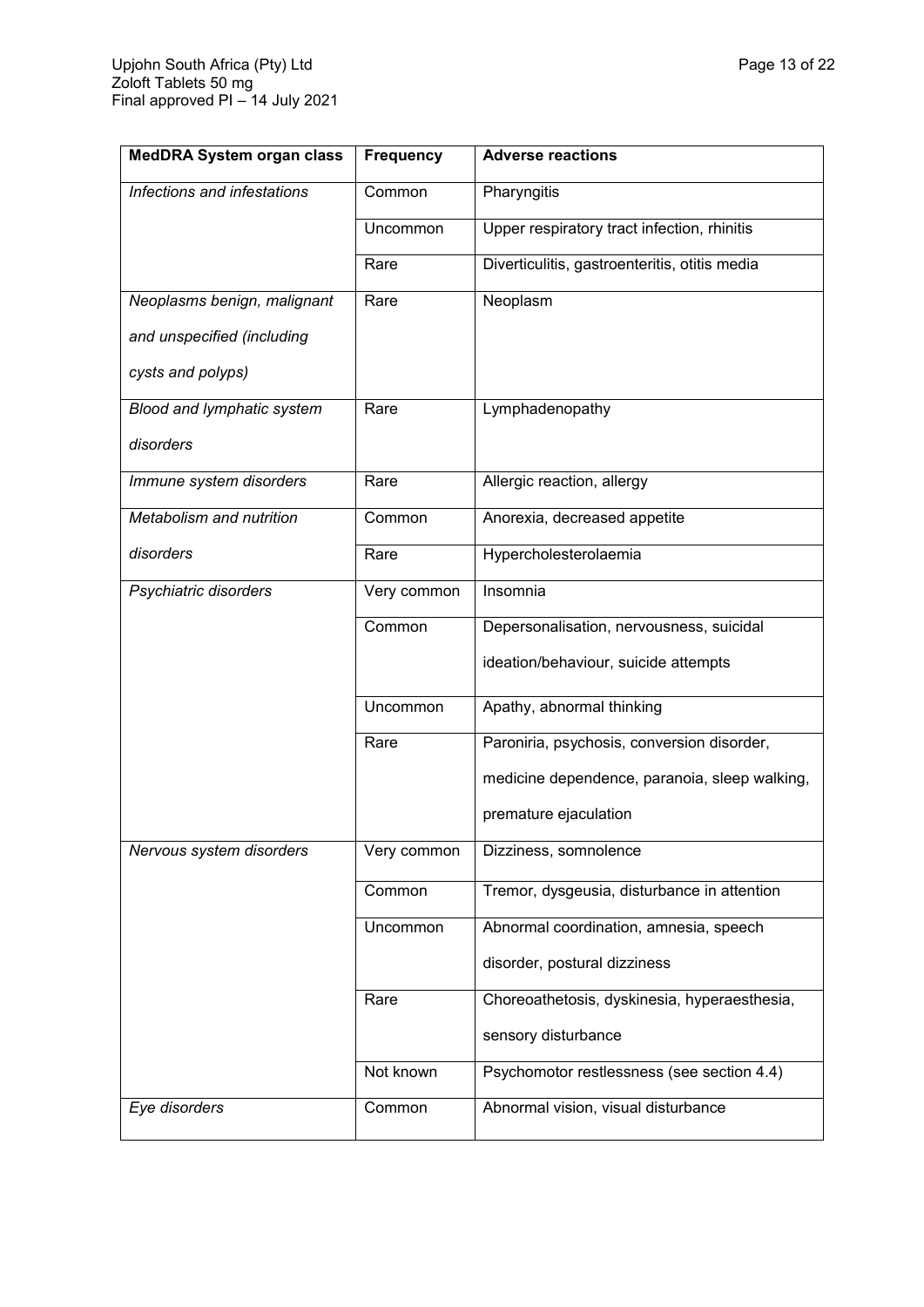| <b>MedDRA System organ class</b> | <b>Frequency</b> | <b>Adverse reactions</b>                      |
|----------------------------------|------------------|-----------------------------------------------|
| Infections and infestations      | Common           | Pharyngitis                                   |
|                                  | Uncommon         | Upper respiratory tract infection, rhinitis   |
|                                  | Rare             | Diverticulitis, gastroenteritis, otitis media |
| Neoplasms benign, malignant      | Rare             | Neoplasm                                      |
| and unspecified (including       |                  |                                               |
| cysts and polyps)                |                  |                                               |
| Blood and lymphatic system       | Rare             | Lymphadenopathy                               |
| disorders                        |                  |                                               |
| Immune system disorders          | Rare             | Allergic reaction, allergy                    |
| Metabolism and nutrition         | Common           | Anorexia, decreased appetite                  |
| disorders                        | Rare             | Hypercholesterolaemia                         |
| Psychiatric disorders            | Very common      | Insomnia                                      |
|                                  | Common           | Depersonalisation, nervousness, suicidal      |
|                                  |                  | ideation/behaviour, suicide attempts          |
|                                  | Uncommon         | Apathy, abnormal thinking                     |
|                                  | Rare             | Paroniria, psychosis, conversion disorder,    |
|                                  |                  | medicine dependence, paranoia, sleep walking, |
|                                  |                  | premature ejaculation                         |
| Nervous system disorders         | Very common      | Dizziness, somnolence                         |
|                                  | Common           | Tremor, dysgeusia, disturbance in attention   |
|                                  | Uncommon         | Abnormal coordination, amnesia, speech        |
|                                  |                  | disorder, postural dizziness                  |
|                                  | Rare             | Choreoathetosis, dyskinesia, hyperaesthesia,  |
|                                  |                  | sensory disturbance                           |
|                                  | Not known        | Psychomotor restlessness (see section 4.4)    |
| Eye disorders                    | Common           | Abnormal vision, visual disturbance           |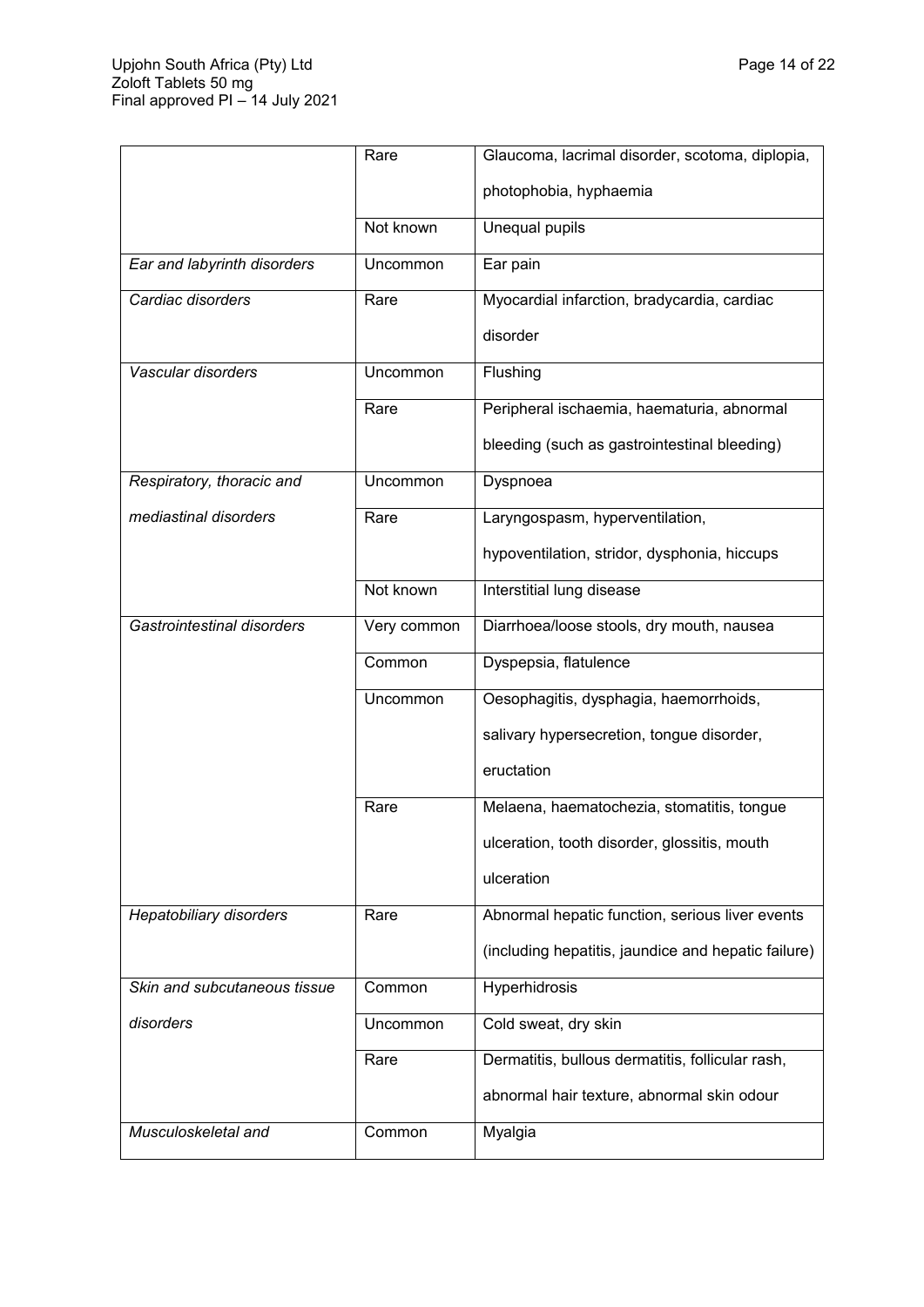|                                | Rare        | Glaucoma, lacrimal disorder, scotoma, diplopia,     |
|--------------------------------|-------------|-----------------------------------------------------|
|                                |             | photophobia, hyphaemia                              |
|                                | Not known   | Unequal pupils                                      |
| Ear and labyrinth disorders    | Uncommon    | Ear pain                                            |
| Cardiac disorders              | Rare        | Myocardial infarction, bradycardia, cardiac         |
|                                |             | disorder                                            |
| Vascular disorders             | Uncommon    | Flushing                                            |
|                                | Rare        | Peripheral ischaemia, haematuria, abnormal          |
|                                |             | bleeding (such as gastrointestinal bleeding)        |
| Respiratory, thoracic and      | Uncommon    | Dyspnoea                                            |
| mediastinal disorders          | Rare        | Laryngospasm, hyperventilation,                     |
|                                |             | hypoventilation, stridor, dysphonia, hiccups        |
|                                | Not known   | Interstitial lung disease                           |
| Gastrointestinal disorders     | Very common | Diarrhoea/loose stools, dry mouth, nausea           |
|                                | Common      | Dyspepsia, flatulence                               |
|                                | Uncommon    | Oesophagitis, dysphagia, haemorrhoids,              |
|                                |             | salivary hypersecretion, tongue disorder,           |
|                                |             | eructation                                          |
|                                | Rare        | Melaena, haematochezia, stomatitis, tongue          |
|                                |             | ulceration, tooth disorder, glossitis, mouth        |
|                                |             | ulceration                                          |
| <b>Hepatobiliary disorders</b> | Rare        | Abnormal hepatic function, serious liver events     |
|                                |             | (including hepatitis, jaundice and hepatic failure) |
| Skin and subcutaneous tissue   | Common      | Hyperhidrosis                                       |
| disorders                      | Uncommon    | Cold sweat, dry skin                                |
|                                | Rare        | Dermatitis, bullous dermatitis, follicular rash,    |
|                                |             | abnormal hair texture, abnormal skin odour          |
| Musculoskeletal and            | Common      | Myalgia                                             |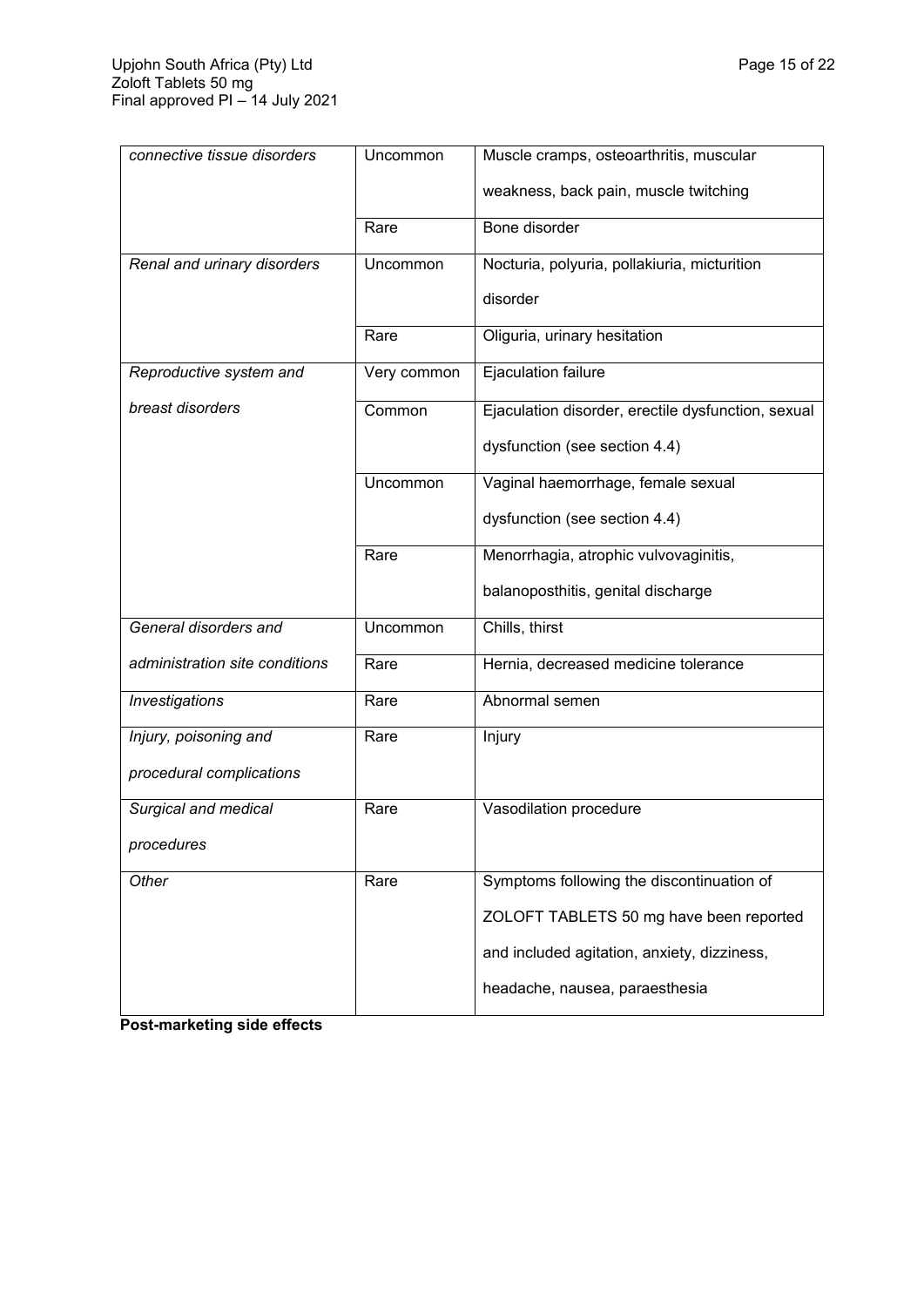| connective tissue disorders    | Uncommon    | Muscle cramps, osteoarthritis, muscular            |
|--------------------------------|-------------|----------------------------------------------------|
|                                |             | weakness, back pain, muscle twitching              |
|                                | Rare        | Bone disorder                                      |
| Renal and urinary disorders    | Uncommon    | Nocturia, polyuria, pollakiuria, micturition       |
|                                |             | disorder                                           |
|                                | Rare        | Oliguria, urinary hesitation                       |
| Reproductive system and        | Very common | Ejaculation failure                                |
| breast disorders               | Common      | Ejaculation disorder, erectile dysfunction, sexual |
|                                |             | dysfunction (see section 4.4)                      |
|                                | Uncommon    | Vaginal haemorrhage, female sexual                 |
|                                |             | dysfunction (see section 4.4)                      |
|                                | Rare        | Menorrhagia, atrophic vulvovaginitis,              |
|                                |             | balanoposthitis, genital discharge                 |
| General disorders and          | Uncommon    | Chills, thirst                                     |
| administration site conditions | Rare        | Hernia, decreased medicine tolerance               |
| Investigations                 | Rare        | Abnormal semen                                     |
| Injury, poisoning and          | Rare        | Injury                                             |
| procedural complications       |             |                                                    |
| Surgical and medical           | Rare        | Vasodilation procedure                             |
| procedures                     |             |                                                    |
| Other                          | Rare        | Symptoms following the discontinuation of          |
|                                |             | ZOLOFT TABLETS 50 mg have been reported            |
|                                |             | and included agitation, anxiety, dizziness,        |
|                                |             | headache, nausea, paraesthesia                     |

**Post-marketing side effects**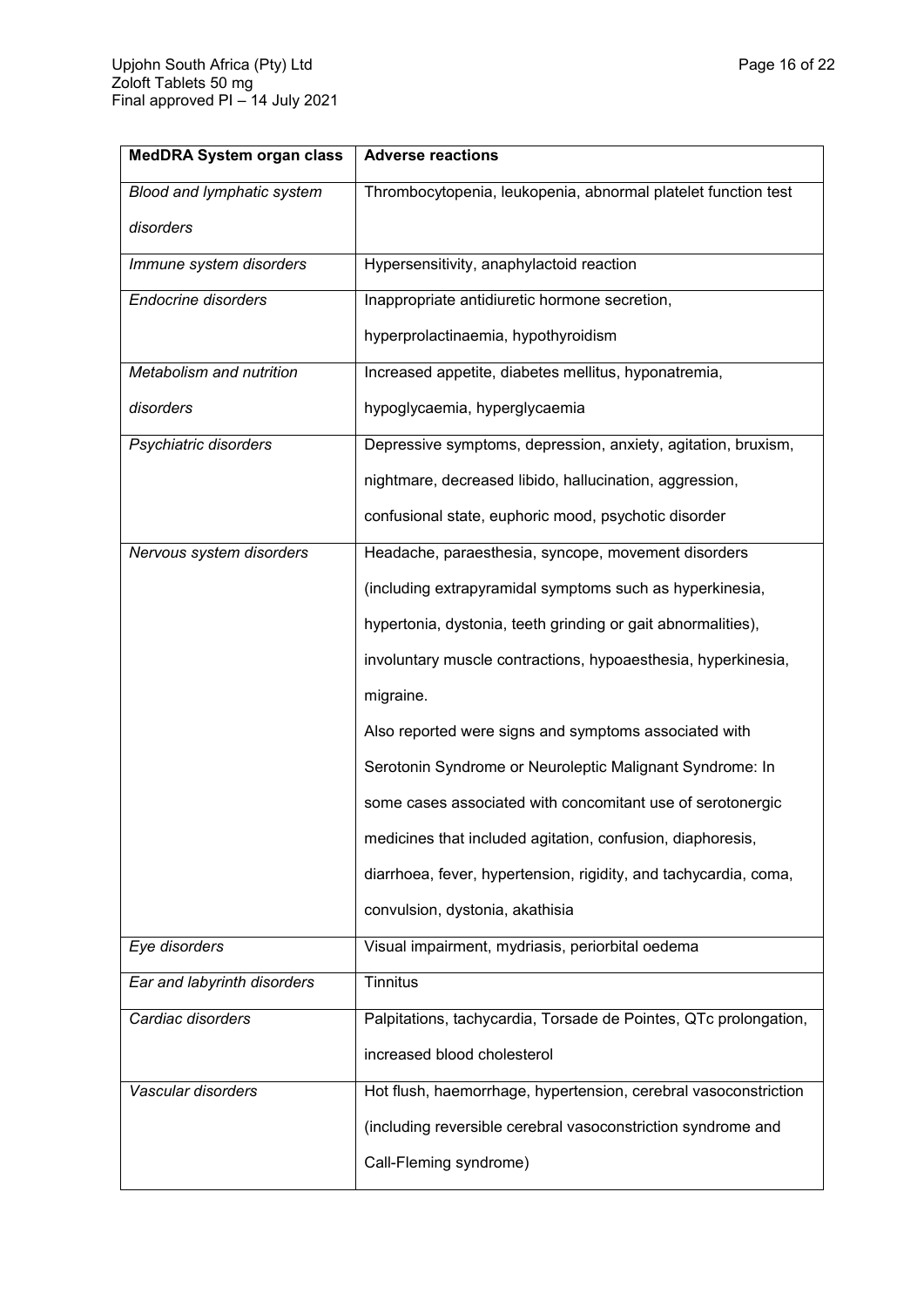| <b>MedDRA System organ class</b> | <b>Adverse reactions</b>                                         |  |
|----------------------------------|------------------------------------------------------------------|--|
| Blood and lymphatic system       | Thrombocytopenia, leukopenia, abnormal platelet function test    |  |
| disorders                        |                                                                  |  |
| Immune system disorders          | Hypersensitivity, anaphylactoid reaction                         |  |
| <b>Endocrine disorders</b>       | Inappropriate antidiuretic hormone secretion,                    |  |
|                                  | hyperprolactinaemia, hypothyroidism                              |  |
| Metabolism and nutrition         | Increased appetite, diabetes mellitus, hyponatremia,             |  |
| disorders                        | hypoglycaemia, hyperglycaemia                                    |  |
| Psychiatric disorders            | Depressive symptoms, depression, anxiety, agitation, bruxism,    |  |
|                                  | nightmare, decreased libido, hallucination, aggression,          |  |
|                                  | confusional state, euphoric mood, psychotic disorder             |  |
| Nervous system disorders         | Headache, paraesthesia, syncope, movement disorders              |  |
|                                  | (including extrapyramidal symptoms such as hyperkinesia,         |  |
|                                  | hypertonia, dystonia, teeth grinding or gait abnormalities),     |  |
|                                  | involuntary muscle contractions, hypoaesthesia, hyperkinesia,    |  |
|                                  | migraine.                                                        |  |
|                                  | Also reported were signs and symptoms associated with            |  |
|                                  | Serotonin Syndrome or Neuroleptic Malignant Syndrome: In         |  |
|                                  | some cases associated with concomitant use of serotonergic       |  |
|                                  | medicines that included agitation, confusion, diaphoresis,       |  |
|                                  | diarrhoea, fever, hypertension, rigidity, and tachycardia, coma, |  |
|                                  | convulsion, dystonia, akathisia                                  |  |
| Eye disorders                    | Visual impairment, mydriasis, periorbital oedema                 |  |
| Ear and labyrinth disorders      | <b>Tinnitus</b>                                                  |  |
| Cardiac disorders                | Palpitations, tachycardia, Torsade de Pointes, QTc prolongation, |  |
|                                  | increased blood cholesterol                                      |  |
| Vascular disorders               | Hot flush, haemorrhage, hypertension, cerebral vasoconstriction  |  |
|                                  | (including reversible cerebral vasoconstriction syndrome and     |  |
|                                  | Call-Fleming syndrome)                                           |  |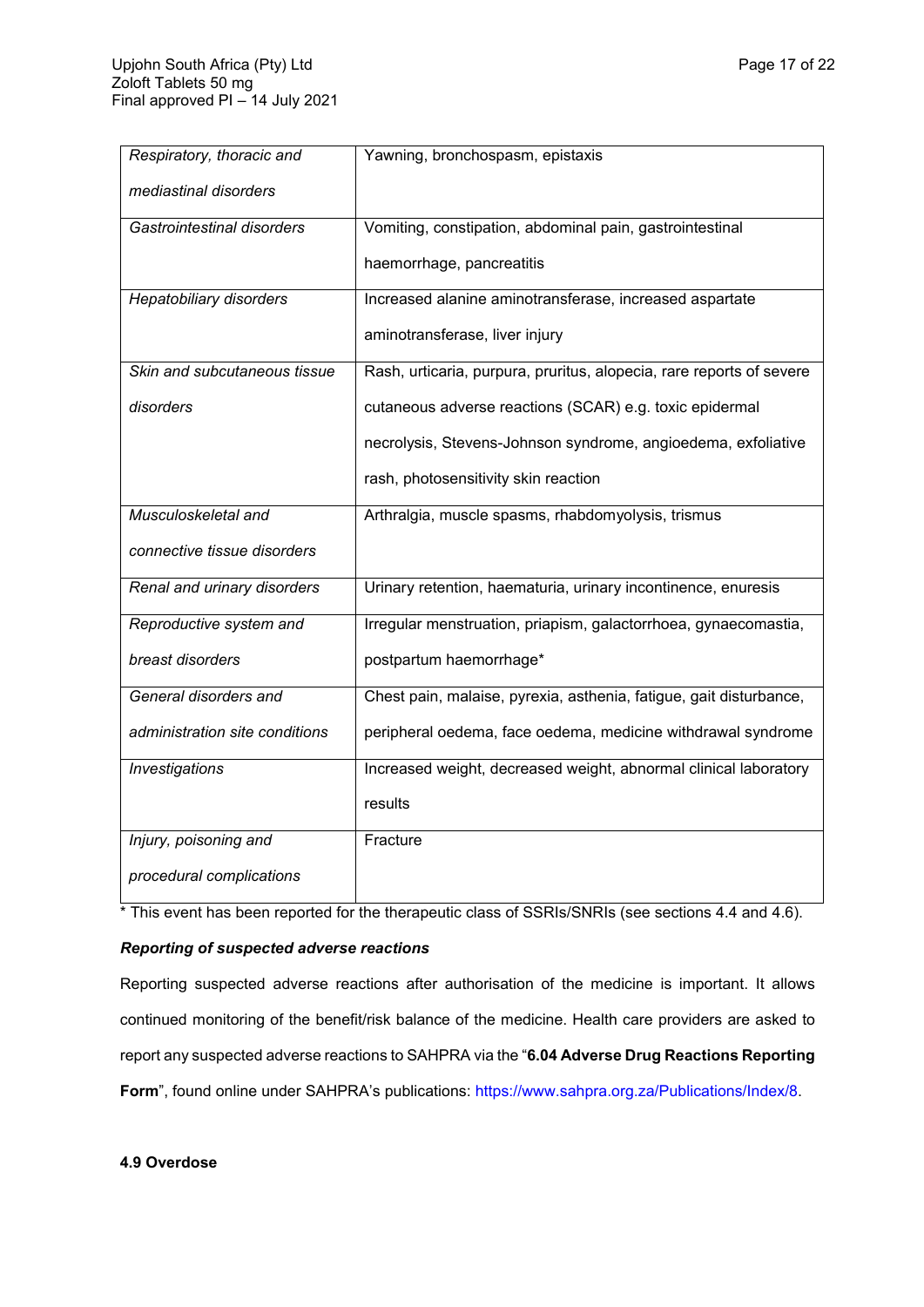| Respiratory, thoracic and      | Yawning, bronchospasm, epistaxis                                     |
|--------------------------------|----------------------------------------------------------------------|
| mediastinal disorders          |                                                                      |
| Gastrointestinal disorders     | Vomiting, constipation, abdominal pain, gastrointestinal             |
|                                | haemorrhage, pancreatitis                                            |
| <b>Hepatobiliary disorders</b> | Increased alanine aminotransferase, increased aspartate              |
|                                | aminotransferase, liver injury                                       |
| Skin and subcutaneous tissue   | Rash, urticaria, purpura, pruritus, alopecia, rare reports of severe |
| disorders                      | cutaneous adverse reactions (SCAR) e.g. toxic epidermal              |
|                                | necrolysis, Stevens-Johnson syndrome, angioedema, exfoliative        |
|                                | rash, photosensitivity skin reaction                                 |
| Musculoskeletal and            | Arthralgia, muscle spasms, rhabdomyolysis, trismus                   |
| connective tissue disorders    |                                                                      |
| Renal and urinary disorders    | Urinary retention, haematuria, urinary incontinence, enuresis        |
| Reproductive system and        | Irregular menstruation, priapism, galactorrhoea, gynaecomastia,      |
| breast disorders               | postpartum haemorrhage*                                              |
| General disorders and          | Chest pain, malaise, pyrexia, asthenia, fatigue, gait disturbance,   |
| administration site conditions | peripheral oedema, face oedema, medicine withdrawal syndrome         |
| Investigations                 | Increased weight, decreased weight, abnormal clinical laboratory     |
|                                | results                                                              |
| Injury, poisoning and          | Fracture                                                             |
| procedural complications       |                                                                      |

\* This event has been reported for the therapeutic class of SSRIs/SNRIs (see sections 4.4 and 4.6).

# *Reporting of suspected adverse reactions*

Reporting suspected adverse reactions after authorisation of the medicine is important. It allows continued monitoring of the benefit/risk balance of the medicine. Health care providers are asked to report any suspected adverse reactions to SAHPRA via the "**6.04 Adverse Drug Reactions Reporting**  Form", found online under SAHPRA's publications:<https://www.sahpra.org.za/Publications/Index/8>.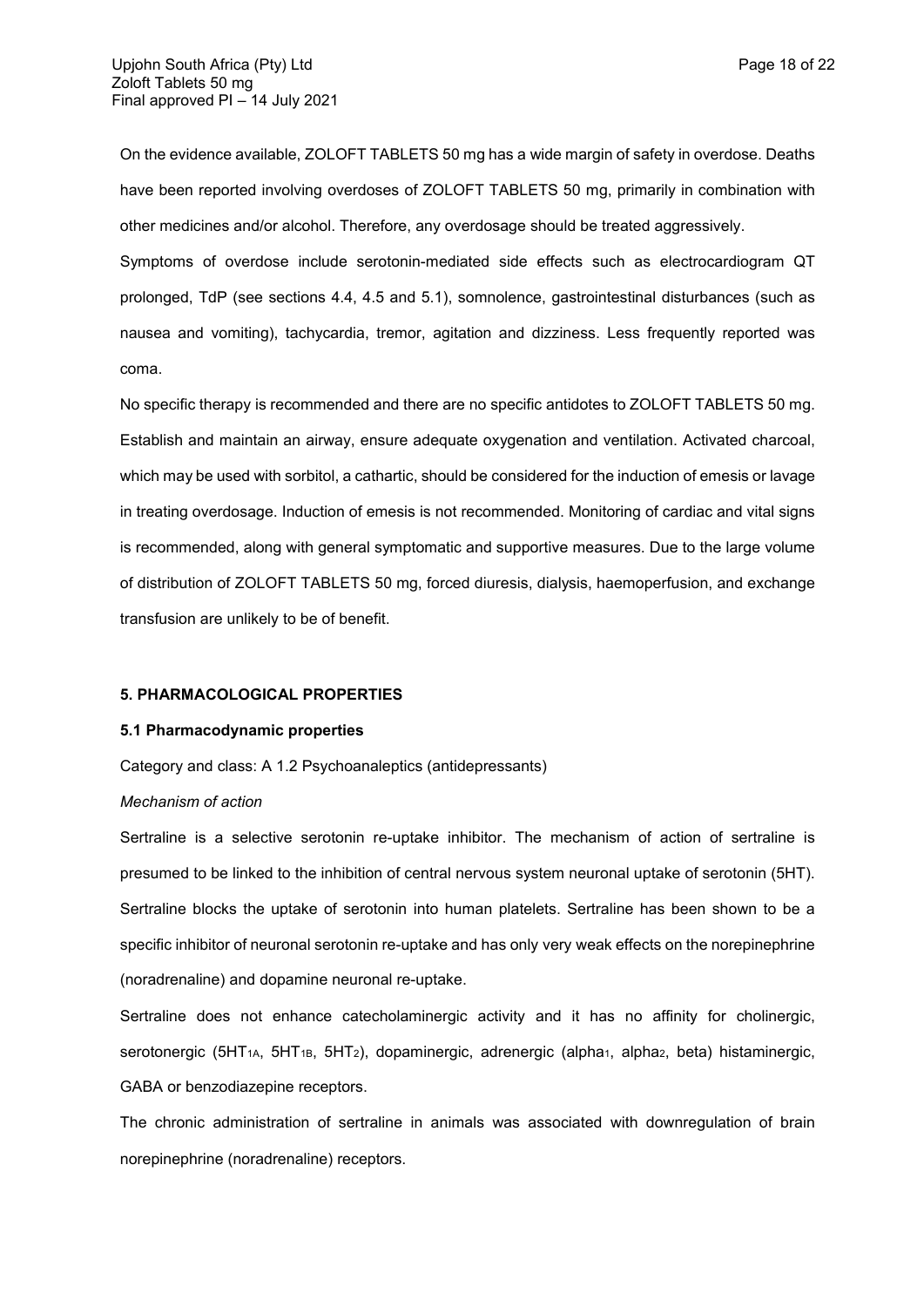On the evidence available, ZOLOFT TABLETS 50 mg has a wide margin of safety in overdose. Deaths have been reported involving overdoses of ZOLOFT TABLETS 50 mg, primarily in combination with other medicines and/or alcohol. Therefore, any overdosage should be treated aggressively.

Symptoms of overdose include serotonin-mediated side effects such as electrocardiogram QT prolonged, TdP (see sections 4.4, 4.5 and 5.1), somnolence, gastrointestinal disturbances (such as nausea and vomiting), tachycardia, tremor, agitation and dizziness. Less frequently reported was coma.

No specific therapy is recommended and there are no specific antidotes to ZOLOFT TABLETS 50 mg. Establish and maintain an airway, ensure adequate oxygenation and ventilation. Activated charcoal, which may be used with sorbitol, a cathartic, should be considered for the induction of emesis or lavage in treating overdosage. Induction of emesis is not recommended. Monitoring of cardiac and vital signs is recommended, along with general symptomatic and supportive measures. Due to the large volume of distribution of ZOLOFT TABLETS 50 mg, forced diuresis, dialysis, haemoperfusion, and exchange transfusion are unlikely to be of benefit.

### **5. PHARMACOLOGICAL PROPERTIES**

#### **5.1 Pharmacodynamic properties**

Category and class: A 1.2 Psychoanaleptics (antidepressants)

### *Mechanism of action*

Sertraline is a selective serotonin re-uptake inhibitor. The mechanism of action of sertraline is presumed to be linked to the inhibition of central nervous system neuronal uptake of serotonin (5HT). Sertraline blocks the uptake of serotonin into human platelets. Sertraline has been shown to be a specific inhibitor of neuronal serotonin re-uptake and has only very weak effects on the norepinephrine (noradrenaline) and dopamine neuronal re-uptake.

Sertraline does not enhance catecholaminergic activity and it has no affinity for cholinergic, serotonergic (5HT<sub>1A</sub>, 5HT<sub>1B</sub>, 5HT<sub>2</sub>), dopaminergic, adrenergic (alpha<sub>1</sub>, alpha<sub>2</sub>, beta) histaminergic, GABA or benzodiazepine receptors.

The chronic administration of sertraline in animals was associated with downregulation of brain norepinephrine (noradrenaline) receptors.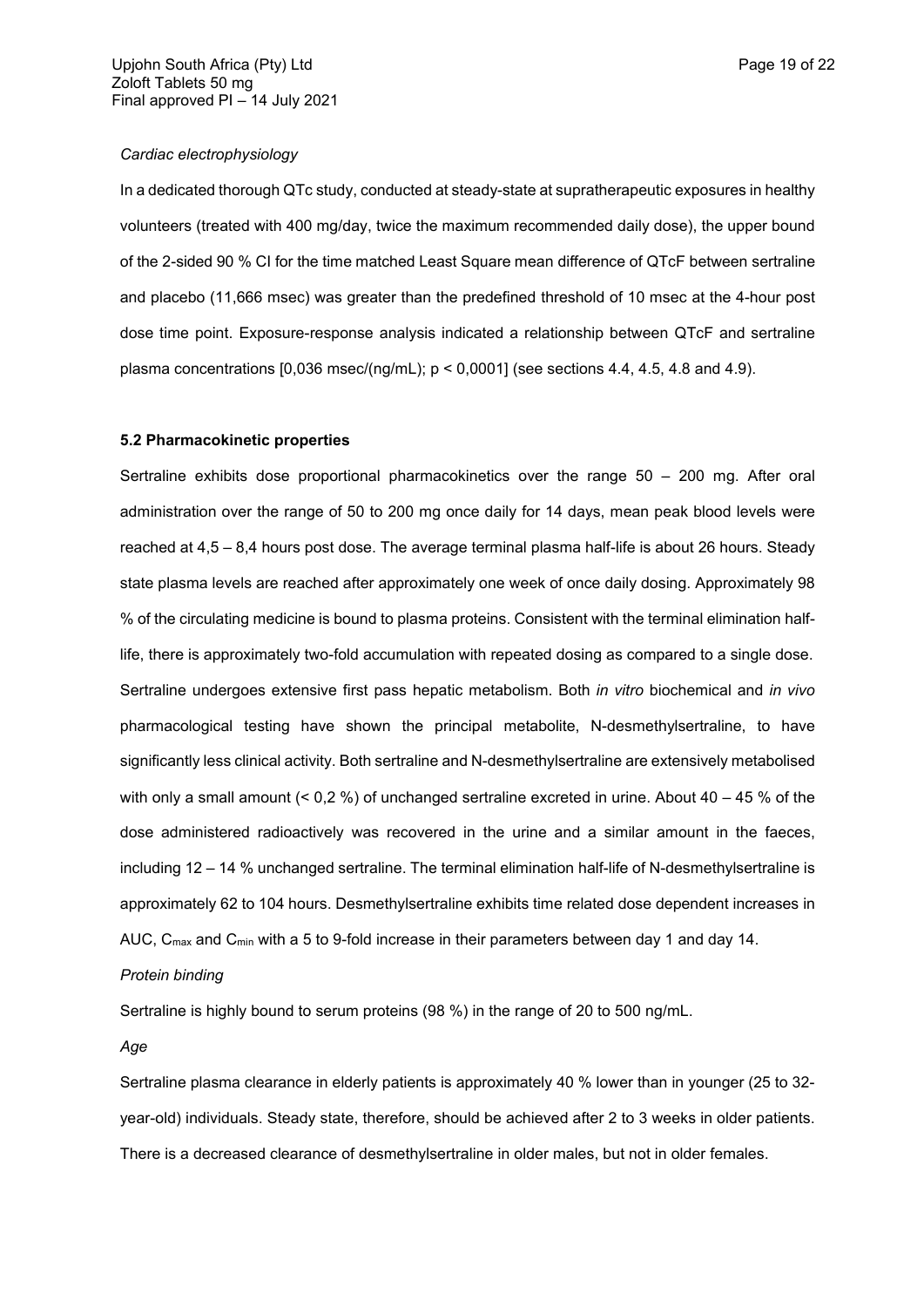### *Cardiac electrophysiology*

In a dedicated thorough QTc study, conducted at steady-state at supratherapeutic exposures in healthy volunteers (treated with 400 mg/day, twice the maximum recommended daily dose), the upper bound of the 2-sided 90 % CI for the time matched Least Square mean difference of QTcF between sertraline and placebo (11,666 msec) was greater than the predefined threshold of 10 msec at the 4-hour post dose time point. Exposure-response analysis indicated a relationship between QTcF and sertraline plasma concentrations  $[0,036$  msec/(ng/mL);  $p < 0,0001$  (see sections 4.4, 4.5, 4.8 and 4.9).

## **5.2 Pharmacokinetic properties**

Sertraline exhibits dose proportional pharmacokinetics over the range 50 – 200 mg. After oral administration over the range of 50 to 200 mg once daily for 14 days, mean peak blood levels were reached at 4,5 – 8,4 hours post dose. The average terminal plasma half-life is about 26 hours. Steady state plasma levels are reached after approximately one week of once daily dosing. Approximately 98 % of the circulating medicine is bound to plasma proteins. Consistent with the terminal elimination halflife, there is approximately two-fold accumulation with repeated dosing as compared to a single dose. Sertraline undergoes extensive first pass hepatic metabolism. Both *in vitro* biochemical and *in vivo* pharmacological testing have shown the principal metabolite, N-desmethylsertraline, to have significantly less clinical activity. Both sertraline and N-desmethylsertraline are extensively metabolised with only a small amount  $($  < 0,2  $\%)$  of unchanged sertraline excreted in urine. About 40 – 45  $\%$  of the dose administered radioactively was recovered in the urine and a similar amount in the faeces, including 12 – 14 % unchanged sertraline. The terminal elimination half-life of N-desmethylsertraline is approximately 62 to 104 hours. Desmethylsertraline exhibits time related dose dependent increases in AUC,  $C_{\text{max}}$  and  $C_{\text{min}}$  with a 5 to 9-fold increase in their parameters between day 1 and day 14.

# *Protein binding*

Sertraline is highly bound to serum proteins (98 %) in the range of 20 to 500 ng/mL.

*Age*

Sertraline plasma clearance in elderly patients is approximately 40 % lower than in younger (25 to 32 year-old) individuals. Steady state, therefore, should be achieved after 2 to 3 weeks in older patients. There is a decreased clearance of desmethylsertraline in older males, but not in older females.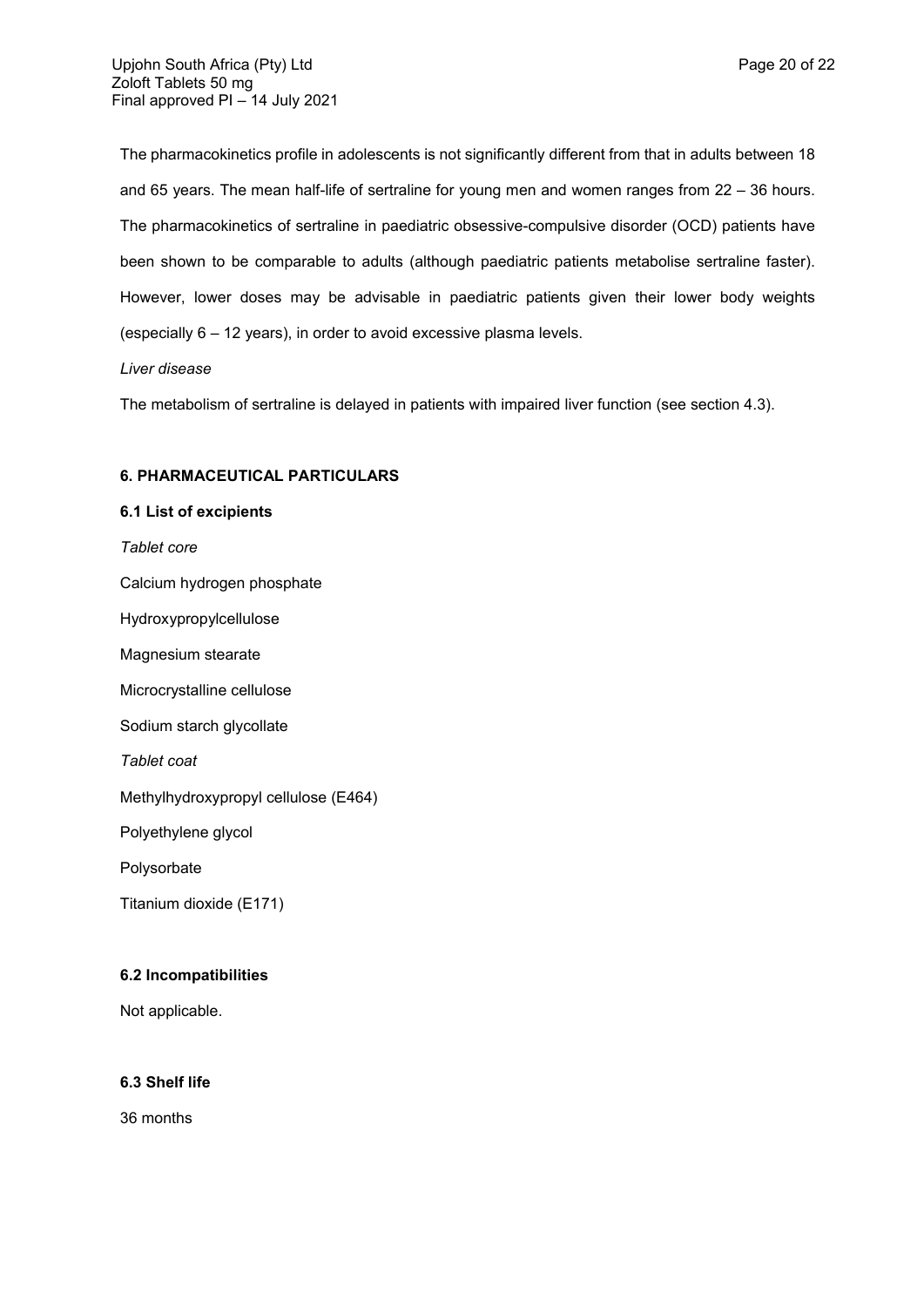The pharmacokinetics profile in adolescents is not significantly different from that in adults between 18 and 65 years. The mean half-life of sertraline for young men and women ranges from 22 – 36 hours. The pharmacokinetics of sertraline in paediatric obsessive-compulsive disorder (OCD) patients have been shown to be comparable to adults (although paediatric patients metabolise sertraline faster). However, lower doses may be advisable in paediatric patients given their lower body weights (especially 6 – 12 years), in order to avoid excessive plasma levels.

# *Liver disease*

The metabolism of sertraline is delayed in patients with impaired liver function (see section 4.3).

## **6. PHARMACEUTICAL PARTICULARS**

## **6.1 List of excipients**

*Tablet core*

Calcium hydrogen phosphate

Hydroxypropylcellulose

Magnesium stearate

Microcrystalline cellulose

Sodium starch glycollate

*Tablet coat*

Methylhydroxypropyl cellulose (E464)

Polyethylene glycol

Polysorbate

Titanium dioxide (E171)

## **6.2 Incompatibilities**

Not applicable.

# **6.3 Shelf life**

36 months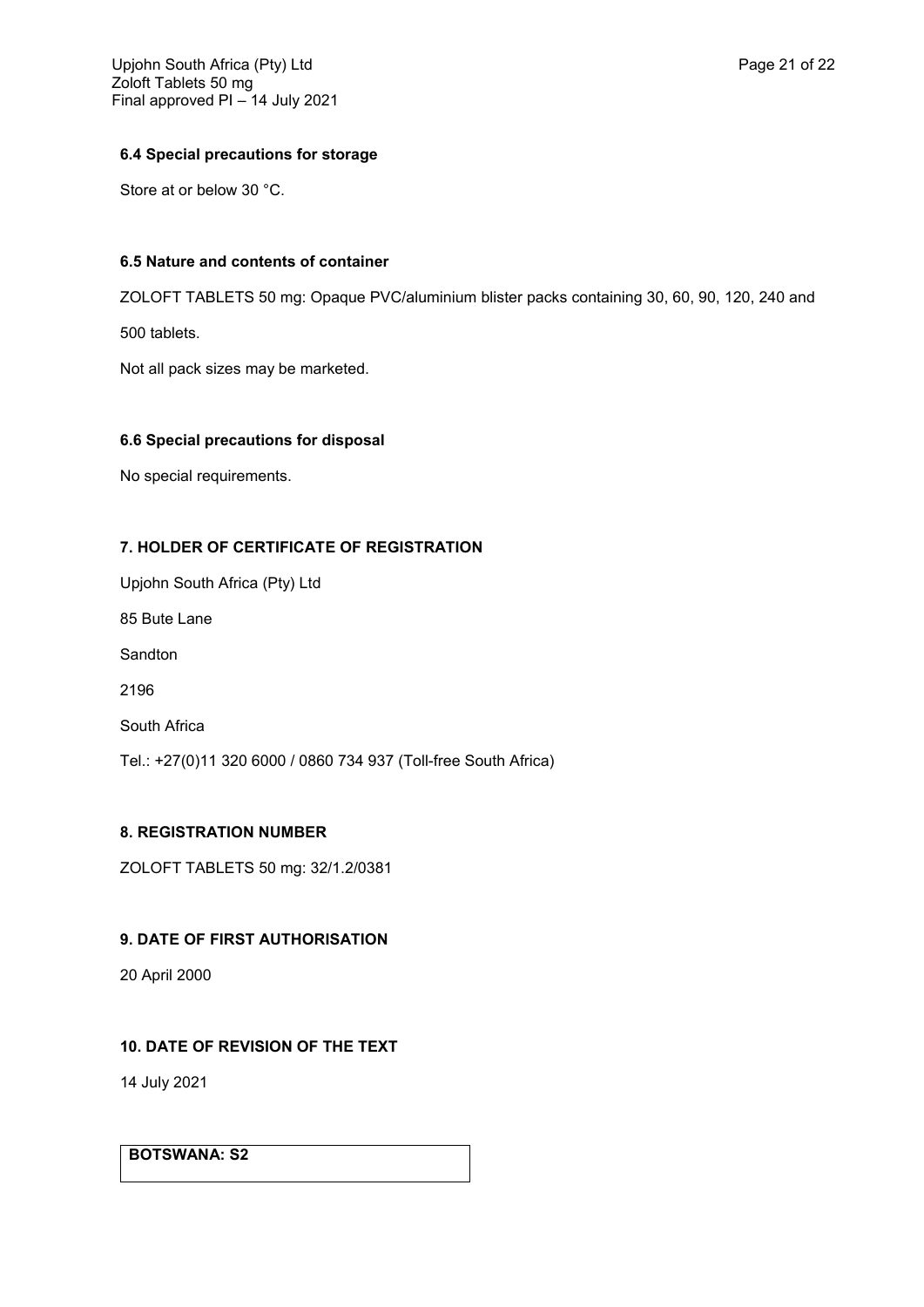# **6.4 Special precautions for storage**

Store at or below 30 °C.

# **6.5 Nature and contents of container**

ZOLOFT TABLETS 50 mg: Opaque PVC/aluminium blister packs containing 30, 60, 90, 120, 240 and

500 tablets.

Not all pack sizes may be marketed.

# **6.6 Special precautions for disposal**

No special requirements.

# **7. HOLDER OF CERTIFICATE OF REGISTRATION**

Upjohn South Africa (Pty) Ltd 85 Bute Lane Sandton 2196 South Africa Tel.: +27(0)11 320 6000 / 0860 734 937 (Toll-free South Africa)

# **8. REGISTRATION NUMBER**

ZOLOFT TABLETS 50 mg: 32/1.2/0381

# **9. DATE OF FIRST AUTHORISATION**

20 April 2000

# **10. DATE OF REVISION OF THE TEXT**

14 July 2021

# **BOTSWANA: S2**